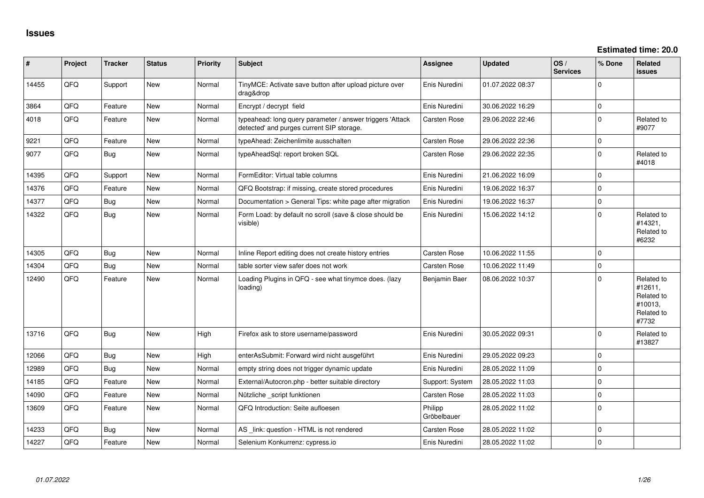| #     | Project | <b>Tracker</b> | <b>Status</b> | <b>Priority</b> | <b>Subject</b>                                                                                         | <b>Assignee</b>        | <b>Updated</b>   | OS/<br><b>Services</b> | % Done       | Related<br><b>issues</b>                                              |
|-------|---------|----------------|---------------|-----------------|--------------------------------------------------------------------------------------------------------|------------------------|------------------|------------------------|--------------|-----------------------------------------------------------------------|
| 14455 | QFQ     | Support        | New           | Normal          | TinyMCE: Activate save button after upload picture over<br>drag&drop                                   | Enis Nuredini          | 01.07.2022 08:37 |                        | $\mathbf 0$  |                                                                       |
| 3864  | QFQ     | Feature        | <b>New</b>    | Normal          | Encrypt / decrypt field                                                                                | Enis Nuredini          | 30.06.2022 16:29 |                        | $\pmb{0}$    |                                                                       |
| 4018  | QFQ     | Feature        | <b>New</b>    | Normal          | typeahead: long query parameter / answer triggers 'Attack<br>detected' and purges current SIP storage. | Carsten Rose           | 29.06.2022 22:46 |                        | $\pmb{0}$    | Related to<br>#9077                                                   |
| 9221  | QFQ     | Feature        | <b>New</b>    | Normal          | typeAhead: Zeichenlimite ausschalten                                                                   | Carsten Rose           | 29.06.2022 22:36 |                        | 0            |                                                                       |
| 9077  | QFQ     | <b>Bug</b>     | <b>New</b>    | Normal          | typeAheadSql: report broken SQL                                                                        | Carsten Rose           | 29.06.2022 22:35 |                        | $\mathbf{0}$ | Related to<br>#4018                                                   |
| 14395 | QFQ     | Support        | <b>New</b>    | Normal          | FormEditor: Virtual table columns                                                                      | Enis Nuredini          | 21.06.2022 16:09 |                        | $\mathbf 0$  |                                                                       |
| 14376 | QFQ     | Feature        | <b>New</b>    | Normal          | QFQ Bootstrap: if missing, create stored procedures                                                    | Enis Nuredini          | 19.06.2022 16:37 |                        | 0            |                                                                       |
| 14377 | QFQ     | <b>Bug</b>     | <b>New</b>    | Normal          | Documentation > General Tips: white page after migration                                               | Enis Nuredini          | 19.06.2022 16:37 |                        | $\mathbf{0}$ |                                                                       |
| 14322 | QFQ     | <b>Bug</b>     | New           | Normal          | Form Load: by default no scroll (save & close should be<br>visible)                                    | Enis Nuredini          | 15.06.2022 14:12 |                        | $\mathbf{0}$ | Related to<br>#14321,<br>Related to<br>#6232                          |
| 14305 | QFQ     | Bug            | New           | Normal          | Inline Report editing does not create history entries                                                  | Carsten Rose           | 10.06.2022 11:55 |                        | $\mathbf 0$  |                                                                       |
| 14304 | QFQ     | <b>Bug</b>     | <b>New</b>    | Normal          | table sorter view safer does not work                                                                  | Carsten Rose           | 10.06.2022 11:49 |                        | $\pmb{0}$    |                                                                       |
| 12490 | QFQ     | Feature        | <b>New</b>    | Normal          | Loading Plugins in QFQ - see what tinymce does. (lazy<br>loading)                                      | Benjamin Baer          | 08.06.2022 10:37 |                        | $\mathbf 0$  | Related to<br>#12611,<br>Related to<br>#10013,<br>Related to<br>#7732 |
| 13716 | QFQ     | Bug            | <b>New</b>    | High            | Firefox ask to store username/password                                                                 | Enis Nuredini          | 30.05.2022 09:31 |                        | $\mathbf 0$  | Related to<br>#13827                                                  |
| 12066 | QFQ     | <b>Bug</b>     | New           | High            | enterAsSubmit: Forward wird nicht ausgeführt                                                           | Enis Nuredini          | 29.05.2022 09:23 |                        | $\mathbf{0}$ |                                                                       |
| 12989 | QFQ     | Bug            | <b>New</b>    | Normal          | empty string does not trigger dynamic update                                                           | Enis Nuredini          | 28.05.2022 11:09 |                        | $\pmb{0}$    |                                                                       |
| 14185 | QFQ     | Feature        | <b>New</b>    | Normal          | External/Autocron.php - better suitable directory                                                      | Support: System        | 28.05.2022 11:03 |                        | $\mathbf 0$  |                                                                       |
| 14090 | QFQ     | Feature        | <b>New</b>    | Normal          | Nützliche _script funktionen                                                                           | Carsten Rose           | 28.05.2022 11:03 |                        | $\pmb{0}$    |                                                                       |
| 13609 | QFQ     | Feature        | <b>New</b>    | Normal          | QFQ Introduction: Seite aufloesen                                                                      | Philipp<br>Gröbelbauer | 28.05.2022 11:02 |                        | $\mathbf 0$  |                                                                       |
| 14233 | QFQ     | Bug            | New           | Normal          | AS _link: question - HTML is not rendered                                                              | Carsten Rose           | 28.05.2022 11:02 |                        | $\pmb{0}$    |                                                                       |
| 14227 | QFQ     | Feature        | <b>New</b>    | Normal          | Selenium Konkurrenz: cypress.io                                                                        | Enis Nuredini          | 28.05.2022 11:02 |                        | $\pmb{0}$    |                                                                       |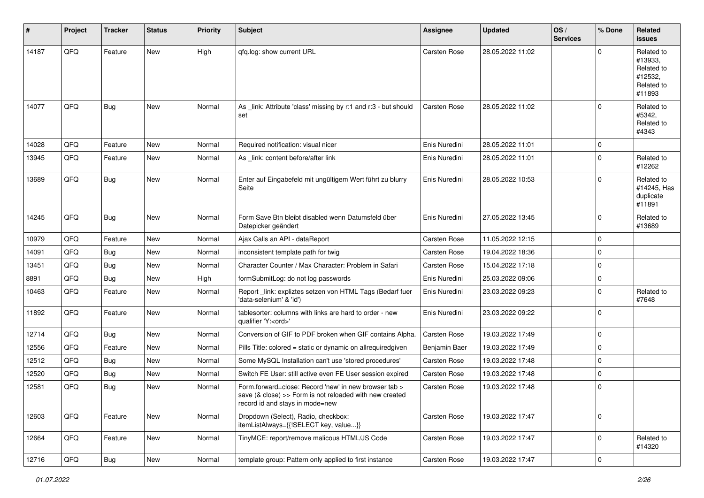| #     | Project | <b>Tracker</b> | <b>Status</b> | <b>Priority</b> | <b>Subject</b>                                                                                                                                      | <b>Assignee</b>     | <b>Updated</b>   | OS/<br><b>Services</b> | % Done         | Related<br><b>issues</b>                                               |
|-------|---------|----------------|---------------|-----------------|-----------------------------------------------------------------------------------------------------------------------------------------------------|---------------------|------------------|------------------------|----------------|------------------------------------------------------------------------|
| 14187 | QFQ     | Feature        | <b>New</b>    | High            | gfg.log: show current URL                                                                                                                           | Carsten Rose        | 28.05.2022 11:02 |                        | $\Omega$       | Related to<br>#13933,<br>Related to<br>#12532,<br>Related to<br>#11893 |
| 14077 | QFQ     | Bug            | New           | Normal          | As link: Attribute 'class' missing by r:1 and r:3 - but should<br>set                                                                               | Carsten Rose        | 28.05.2022 11:02 |                        | $\mathbf 0$    | Related to<br>#5342.<br>Related to<br>#4343                            |
| 14028 | QFQ     | Feature        | <b>New</b>    | Normal          | Required notification: visual nicer                                                                                                                 | Enis Nuredini       | 28.05.2022 11:01 |                        | 0              |                                                                        |
| 13945 | QFQ     | Feature        | New           | Normal          | As _link: content before/after link                                                                                                                 | Enis Nuredini       | 28.05.2022 11:01 |                        | $\mathbf 0$    | Related to<br>#12262                                                   |
| 13689 | QFQ     | Bug            | New           | Normal          | Enter auf Eingabefeld mit ungültigem Wert führt zu blurry<br>Seite                                                                                  | Enis Nuredini       | 28.05.2022 10:53 |                        | $\mathbf 0$    | Related to<br>#14245, Has<br>duplicate<br>#11891                       |
| 14245 | QFQ     | Bug            | New           | Normal          | Form Save Btn bleibt disabled wenn Datumsfeld über<br>Datepicker geändert                                                                           | Enis Nuredini       | 27.05.2022 13:45 |                        | $\mathbf 0$    | Related to<br>#13689                                                   |
| 10979 | QFQ     | Feature        | New           | Normal          | Ajax Calls an API - dataReport                                                                                                                      | Carsten Rose        | 11.05.2022 12:15 |                        | $\mathbf 0$    |                                                                        |
| 14091 | QFQ     | Bug            | New           | Normal          | inconsistent template path for twig                                                                                                                 | Carsten Rose        | 19.04.2022 18:36 |                        | $\mathbf 0$    |                                                                        |
| 13451 | QFQ     | Bug            | New           | Normal          | Character Counter / Max Character: Problem in Safari                                                                                                | Carsten Rose        | 15.04.2022 17:18 |                        | 0              |                                                                        |
| 8891  | QFQ     | <b>Bug</b>     | New           | High            | formSubmitLog: do not log passwords                                                                                                                 | Enis Nuredini       | 25.03.2022 09:06 |                        | $\mathbf 0$    |                                                                        |
| 10463 | QFQ     | Feature        | New           | Normal          | Report_link: expliztes setzen von HTML Tags (Bedarf fuer<br>'data-selenium' & 'id')                                                                 | Enis Nuredini       | 23.03.2022 09:23 |                        | $\mathbf 0$    | Related to<br>#7648                                                    |
| 11892 | QFQ     | Feature        | <b>New</b>    | Normal          | tablesorter: columns with links are hard to order - new<br>qualifier 'Y: <ord>'</ord>                                                               | Enis Nuredini       | 23.03.2022 09:22 |                        | $\mathbf 0$    |                                                                        |
| 12714 | QFQ     | Bug            | New           | Normal          | Conversion of GIF to PDF broken when GIF contains Alpha.                                                                                            | Carsten Rose        | 19.03.2022 17:49 |                        | $\mathbf 0$    |                                                                        |
| 12556 | QFQ     | Feature        | New           | Normal          | Pills Title: colored = static or dynamic on allrequiredgiven                                                                                        | Benjamin Baer       | 19.03.2022 17:49 |                        | $\mathbf 0$    |                                                                        |
| 12512 | QFQ     | Bug            | New           | Normal          | Some MySQL Installation can't use 'stored procedures'                                                                                               | <b>Carsten Rose</b> | 19.03.2022 17:48 |                        | $\mathbf 0$    |                                                                        |
| 12520 | QFQ     | <b>Bug</b>     | New           | Normal          | Switch FE User: still active even FE User session expired                                                                                           | <b>Carsten Rose</b> | 19.03.2022 17:48 |                        | 0              |                                                                        |
| 12581 | QFQ     | Bug            | New           | Normal          | Form.forward=close: Record 'new' in new browser tab ><br>save (& close) >> Form is not reloaded with new created<br>record id and stays in mode=new | Carsten Rose        | 19.03.2022 17:48 |                        | 0              |                                                                        |
| 12603 | QFQ     | Feature        | New           | Normal          | Dropdown (Select), Radio, checkbox:<br>itemListAlways={{!SELECT key, value}}                                                                        | Carsten Rose        | 19.03.2022 17:47 |                        | $\mathbf 0$    |                                                                        |
| 12664 | QFQ     | Feature        | New           | Normal          | TinyMCE: report/remove malicous HTML/JS Code                                                                                                        | Carsten Rose        | 19.03.2022 17:47 |                        | $\overline{0}$ | Related to<br>#14320                                                   |
| 12716 | QFG     | Bug            | New           | Normal          | template group: Pattern only applied to first instance                                                                                              | Carsten Rose        | 19.03.2022 17:47 |                        | $\pmb{0}$      |                                                                        |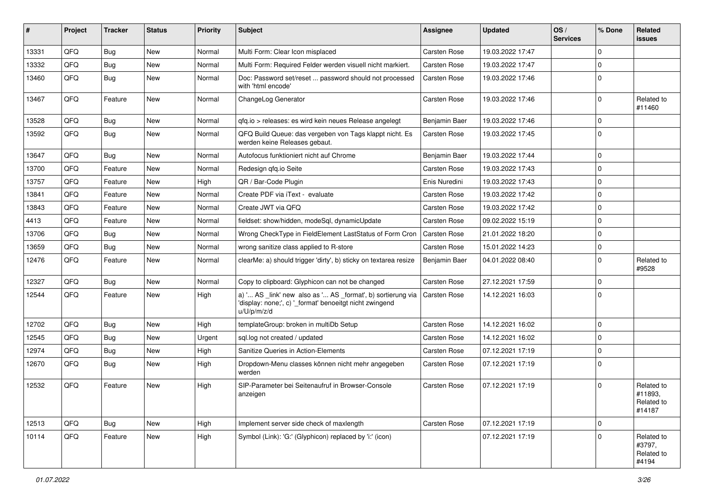| #     | Project | <b>Tracker</b> | <b>Status</b> | <b>Priority</b> | Subject                                                                                                                               | <b>Assignee</b>     | <b>Updated</b>   | OS/<br><b>Services</b> | % Done       | Related<br><b>issues</b>                      |
|-------|---------|----------------|---------------|-----------------|---------------------------------------------------------------------------------------------------------------------------------------|---------------------|------------------|------------------------|--------------|-----------------------------------------------|
| 13331 | QFQ     | Bug            | New           | Normal          | Multi Form: Clear Icon misplaced                                                                                                      | Carsten Rose        | 19.03.2022 17:47 |                        | $\mathbf 0$  |                                               |
| 13332 | QFQ     | Bug            | <b>New</b>    | Normal          | Multi Form: Required Felder werden visuell nicht markiert.                                                                            | Carsten Rose        | 19.03.2022 17:47 |                        | $\mathbf 0$  |                                               |
| 13460 | QFQ     | Bug            | <b>New</b>    | Normal          | Doc: Password set/reset  password should not processed<br>with 'html encode'                                                          | <b>Carsten Rose</b> | 19.03.2022 17:46 |                        | $\mathbf 0$  |                                               |
| 13467 | QFQ     | Feature        | New           | Normal          | ChangeLog Generator                                                                                                                   | Carsten Rose        | 19.03.2022 17:46 |                        | $\mathbf 0$  | Related to<br>#11460                          |
| 13528 | QFQ     | <b>Bug</b>     | <b>New</b>    | Normal          | qfq.io > releases: es wird kein neues Release angelegt                                                                                | Benjamin Baer       | 19.03.2022 17:46 |                        | 0            |                                               |
| 13592 | QFQ     | Bug            | New           | Normal          | QFQ Build Queue: das vergeben von Tags klappt nicht. Es<br>werden keine Releases gebaut.                                              | Carsten Rose        | 19.03.2022 17:45 |                        | $\mathbf 0$  |                                               |
| 13647 | QFQ     | Bug            | <b>New</b>    | Normal          | Autofocus funktioniert nicht auf Chrome                                                                                               | Benjamin Baer       | 19.03.2022 17:44 |                        | $\mathbf 0$  |                                               |
| 13700 | QFQ     | Feature        | New           | Normal          | Redesign qfq.io Seite                                                                                                                 | Carsten Rose        | 19.03.2022 17:43 |                        | $\mathbf 0$  |                                               |
| 13757 | QFQ     | Feature        | <b>New</b>    | High            | QR / Bar-Code Plugin                                                                                                                  | Enis Nuredini       | 19.03.2022 17:43 |                        | $\mathbf 0$  |                                               |
| 13841 | QFQ     | Feature        | New           | Normal          | Create PDF via iText - evaluate                                                                                                       | Carsten Rose        | 19.03.2022 17:42 |                        | $\mathbf 0$  |                                               |
| 13843 | QFQ     | Feature        | <b>New</b>    | Normal          | Create JWT via QFQ                                                                                                                    | <b>Carsten Rose</b> | 19.03.2022 17:42 |                        | $\mathbf 0$  |                                               |
| 4413  | QFQ     | Feature        | New           | Normal          | fieldset: show/hidden, modeSql, dynamicUpdate                                                                                         | Carsten Rose        | 09.02.2022 15:19 |                        | 0            |                                               |
| 13706 | QFQ     | <b>Bug</b>     | New           | Normal          | Wrong CheckType in FieldElement LastStatus of Form Cron                                                                               | Carsten Rose        | 21.01.2022 18:20 |                        | $\mathbf 0$  |                                               |
| 13659 | QFQ     | Bug            | <b>New</b>    | Normal          | wrong sanitize class applied to R-store                                                                                               | Carsten Rose        | 15.01.2022 14:23 |                        | 0            |                                               |
| 12476 | QFQ     | Feature        | <b>New</b>    | Normal          | clearMe: a) should trigger 'dirty', b) sticky on textarea resize                                                                      | Benjamin Baer       | 04.01.2022 08:40 |                        | $\mathbf 0$  | Related to<br>#9528                           |
| 12327 | QFQ     | Bug            | <b>New</b>    | Normal          | Copy to clipboard: Glyphicon can not be changed                                                                                       | Carsten Rose        | 27.12.2021 17:59 |                        | $\mathbf 0$  |                                               |
| 12544 | QFQ     | Feature        | <b>New</b>    | High            | a) ' AS _link' new also as ' AS _format', b) sortierung via<br>'display: none;', c) '_format' benoeitgt nicht zwingend<br>u/U/p/m/z/d | Carsten Rose        | 14.12.2021 16:03 |                        | $\mathbf 0$  |                                               |
| 12702 | QFQ     | Bug            | <b>New</b>    | High            | templateGroup: broken in multiDb Setup                                                                                                | Carsten Rose        | 14.12.2021 16:02 |                        | $\mathbf 0$  |                                               |
| 12545 | QFQ     | Bug            | <b>New</b>    | Urgent          | sql.log not created / updated                                                                                                         | <b>Carsten Rose</b> | 14.12.2021 16:02 |                        | $\mathbf 0$  |                                               |
| 12974 | QFQ     | <b>Bug</b>     | New           | High            | Sanitize Queries in Action-Elements                                                                                                   | Carsten Rose        | 07.12.2021 17:19 |                        | $\mathbf 0$  |                                               |
| 12670 | QFQ     | <b>Bug</b>     | New           | High            | Dropdown-Menu classes können nicht mehr angegeben<br>werden                                                                           | Carsten Rose        | 07.12.2021 17:19 |                        | $\mathbf 0$  |                                               |
| 12532 | QFQ     | Feature        | <b>New</b>    | High            | SIP-Parameter bei Seitenaufruf in Browser-Console<br>anzeigen                                                                         | Carsten Rose        | 07.12.2021 17:19 |                        | $\mathbf{0}$ | Related to<br>#11893,<br>Related to<br>#14187 |
| 12513 | QFQ     | <b>Bug</b>     | <b>New</b>    | High            | Implement server side check of maxlength                                                                                              | Carsten Rose        | 07.12.2021 17:19 |                        | $\mathbf 0$  |                                               |
| 10114 | QFQ     | Feature        | New           | High            | Symbol (Link): 'G:' (Glyphicon) replaced by 'i:' (icon)                                                                               |                     | 07.12.2021 17:19 |                        | $\mathbf 0$  | Related to<br>#3797,<br>Related to<br>#4194   |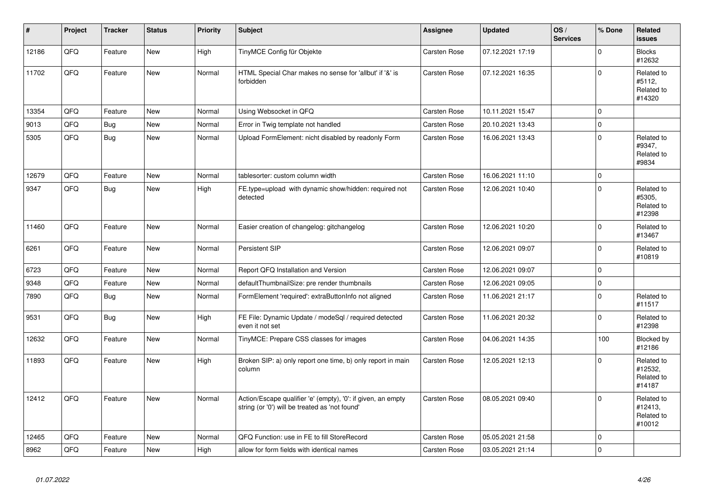| $\vert$ # | Project | <b>Tracker</b> | <b>Status</b> | <b>Priority</b> | <b>Subject</b>                                                                                                 | Assignee            | <b>Updated</b>   | OS/<br><b>Services</b> | % Done         | <b>Related</b><br><b>issues</b>               |
|-----------|---------|----------------|---------------|-----------------|----------------------------------------------------------------------------------------------------------------|---------------------|------------------|------------------------|----------------|-----------------------------------------------|
| 12186     | QFQ     | Feature        | <b>New</b>    | High            | TinyMCE Config für Objekte                                                                                     | <b>Carsten Rose</b> | 07.12.2021 17:19 |                        | $\mathbf{0}$   | <b>Blocks</b><br>#12632                       |
| 11702     | QFQ     | Feature        | <b>New</b>    | Normal          | HTML Special Char makes no sense for 'allbut' if '&' is<br>forbidden                                           | Carsten Rose        | 07.12.2021 16:35 |                        | $\Omega$       | Related to<br>#5112,<br>Related to<br>#14320  |
| 13354     | QFQ     | Feature        | <b>New</b>    | Normal          | Using Websocket in QFQ                                                                                         | Carsten Rose        | 10.11.2021 15:47 |                        | $\overline{0}$ |                                               |
| 9013      | QFQ     | <b>Bug</b>     | <b>New</b>    | Normal          | Error in Twig template not handled                                                                             | <b>Carsten Rose</b> | 20.10.2021 13:43 |                        | $\overline{0}$ |                                               |
| 5305      | QFQ     | Bug            | <b>New</b>    | Normal          | Upload FormElement: nicht disabled by readonly Form                                                            | <b>Carsten Rose</b> | 16.06.2021 13:43 |                        | $\mathbf{0}$   | Related to<br>#9347,<br>Related to<br>#9834   |
| 12679     | QFQ     | Feature        | <b>New</b>    | Normal          | tablesorter: custom column width                                                                               | <b>Carsten Rose</b> | 16.06.2021 11:10 |                        | $\mathbf 0$    |                                               |
| 9347      | QFQ     | <b>Bug</b>     | <b>New</b>    | High            | FE.type=upload with dynamic show/hidden: required not<br>detected                                              | <b>Carsten Rose</b> | 12.06.2021 10:40 |                        | $\Omega$       | Related to<br>#5305,<br>Related to<br>#12398  |
| 11460     | QFQ     | Feature        | New           | Normal          | Easier creation of changelog: gitchangelog                                                                     | Carsten Rose        | 12.06.2021 10:20 |                        | $\Omega$       | Related to<br>#13467                          |
| 6261      | QFQ     | Feature        | New           | Normal          | Persistent SIP                                                                                                 | Carsten Rose        | 12.06.2021 09:07 |                        | $\Omega$       | Related to<br>#10819                          |
| 6723      | QFQ     | Feature        | <b>New</b>    | Normal          | Report QFQ Installation and Version                                                                            | <b>Carsten Rose</b> | 12.06.2021 09:07 |                        | $\Omega$       |                                               |
| 9348      | QFQ     | Feature        | New           | Normal          | defaultThumbnailSize: pre render thumbnails                                                                    | <b>Carsten Rose</b> | 12.06.2021 09:05 |                        | $\pmb{0}$      |                                               |
| 7890      | QFQ     | <b>Bug</b>     | New           | Normal          | FormElement 'required': extraButtonInfo not aligned                                                            | Carsten Rose        | 11.06.2021 21:17 |                        | $\Omega$       | Related to<br>#11517                          |
| 9531      | QFQ     | <b>Bug</b>     | New           | High            | FE File: Dynamic Update / modeSql / required detected<br>even it not set                                       | Carsten Rose        | 11.06.2021 20:32 |                        | $\Omega$       | Related to<br>#12398                          |
| 12632     | QFQ     | Feature        | <b>New</b>    | Normal          | TinyMCE: Prepare CSS classes for images                                                                        | <b>Carsten Rose</b> | 04.06.2021 14:35 |                        | 100            | Blocked by<br>#12186                          |
| 11893     | QFQ     | Feature        | <b>New</b>    | High            | Broken SIP: a) only report one time, b) only report in main<br>column                                          | <b>Carsten Rose</b> | 12.05.2021 12:13 |                        | $\Omega$       | Related to<br>#12532,<br>Related to<br>#14187 |
| 12412     | QFQ     | Feature        | New           | Normal          | Action/Escape qualifier 'e' (empty), '0': if given, an empty<br>string (or '0') will be treated as 'not found' | Carsten Rose        | 08.05.2021 09:40 |                        | $\Omega$       | Related to<br>#12413,<br>Related to<br>#10012 |
| 12465     | QFQ     | Feature        | <b>New</b>    | Normal          | QFQ Function: use in FE to fill StoreRecord                                                                    | Carsten Rose        | 05.05.2021 21:58 |                        | 0              |                                               |
| 8962      | QFQ     | Feature        | New           | High            | allow for form fields with identical names                                                                     | Carsten Rose        | 03.05.2021 21:14 |                        | $\mathbf{0}$   |                                               |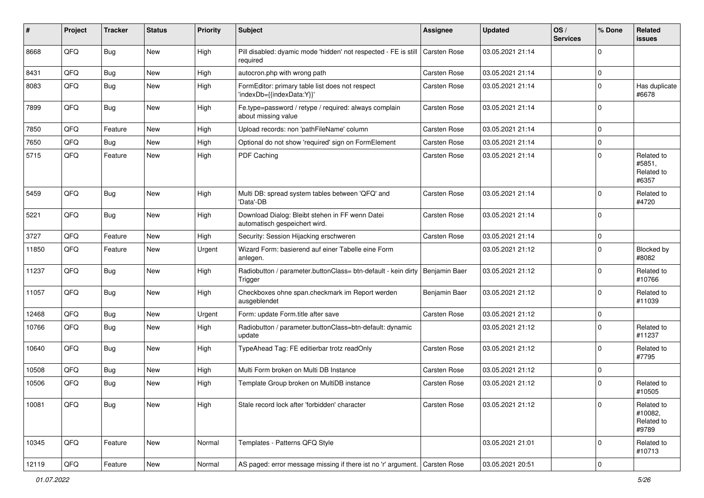| #     | Project | <b>Tracker</b> | <b>Status</b> | <b>Priority</b> | <b>Subject</b>                                                                   | Assignee            | <b>Updated</b>   | OS/<br><b>Services</b> | % Done      | Related<br><b>issues</b>                     |
|-------|---------|----------------|---------------|-----------------|----------------------------------------------------------------------------------|---------------------|------------------|------------------------|-------------|----------------------------------------------|
| 8668  | QFQ     | <b>Bug</b>     | New           | High            | Pill disabled: dyamic mode 'hidden' not respected - FE is still<br>required      | <b>Carsten Rose</b> | 03.05.2021 21:14 |                        | 0           |                                              |
| 8431  | QFQ     | <b>Bug</b>     | <b>New</b>    | High            | autocron.php with wrong path                                                     | Carsten Rose        | 03.05.2021 21:14 |                        | 0           |                                              |
| 8083  | QFQ     | <b>Bug</b>     | New           | High            | FormEditor: primary table list does not respect<br>'indexDb={{indexData:Y}}'     | Carsten Rose        | 03.05.2021 21:14 |                        | $\Omega$    | Has duplicate<br>#6678                       |
| 7899  | QFQ     | <b>Bug</b>     | <b>New</b>    | High            | Fe.type=password / retype / required: always complain<br>about missing value     | Carsten Rose        | 03.05.2021 21:14 |                        | $\Omega$    |                                              |
| 7850  | QFQ     | Feature        | New           | High            | Upload records: non 'pathFileName' column                                        | Carsten Rose        | 03.05.2021 21:14 |                        | $\Omega$    |                                              |
| 7650  | QFQ     | Bug            | <b>New</b>    | High            | Optional do not show 'required' sign on FormElement                              | Carsten Rose        | 03.05.2021 21:14 |                        | 0           |                                              |
| 5715  | QFQ     | Feature        | New           | High            | PDF Caching                                                                      | <b>Carsten Rose</b> | 03.05.2021 21:14 |                        | $\Omega$    | Related to<br>#5851,<br>Related to<br>#6357  |
| 5459  | QFQ     | Bug            | <b>New</b>    | High            | Multi DB: spread system tables between 'QFQ' and<br>'Data'-DB                    | Carsten Rose        | 03.05.2021 21:14 |                        | $\Omega$    | Related to<br>#4720                          |
| 5221  | QFQ     | <b>Bug</b>     | <b>New</b>    | High            | Download Dialog: Bleibt stehen in FF wenn Datei<br>automatisch gespeichert wird. | Carsten Rose        | 03.05.2021 21:14 |                        | $\Omega$    |                                              |
| 3727  | QFQ     | Feature        | <b>New</b>    | High            | Security: Session Hijacking erschweren                                           | Carsten Rose        | 03.05.2021 21:14 |                        | 0           |                                              |
| 11850 | QFQ     | Feature        | New           | Urgent          | Wizard Form: basierend auf einer Tabelle eine Form<br>anlegen.                   |                     | 03.05.2021 21:12 |                        | 0           | Blocked by<br>#8082                          |
| 11237 | QFQ     | Bug            | New           | High            | Radiobutton / parameter.buttonClass= btn-default - kein dirty<br>Trigger         | Benjamin Baer       | 03.05.2021 21:12 |                        | 0           | Related to<br>#10766                         |
| 11057 | QFQ     | <b>Bug</b>     | New           | High            | Checkboxes ohne span.checkmark im Report werden<br>ausgeblendet                  | Benjamin Baer       | 03.05.2021 21:12 |                        | 0           | Related to<br>#11039                         |
| 12468 | QFQ     | <b>Bug</b>     | New           | Urgent          | Form: update Form.title after save                                               | Carsten Rose        | 03.05.2021 21:12 |                        | 0           |                                              |
| 10766 | QFQ     | <b>Bug</b>     | <b>New</b>    | High            | Radiobutton / parameter.buttonClass=btn-default: dynamic<br>update               |                     | 03.05.2021 21:12 |                        | $\Omega$    | Related to<br>#11237                         |
| 10640 | QFQ     | Bug            | <b>New</b>    | High            | TypeAhead Tag: FE editierbar trotz readOnly                                      | Carsten Rose        | 03.05.2021 21:12 |                        | 0           | Related to<br>#7795                          |
| 10508 | QFQ     | <b>Bug</b>     | New           | High            | Multi Form broken on Multi DB Instance                                           | Carsten Rose        | 03.05.2021 21:12 |                        | 0           |                                              |
| 10506 | QFQ     | Bug            | <b>New</b>    | High            | Template Group broken on MultiDB instance                                        | Carsten Rose        | 03.05.2021 21:12 |                        | $\Omega$    | Related to<br>#10505                         |
| 10081 | QFQ     | Bug            | New           | High            | Stale record lock after 'forbidden' character                                    | Carsten Rose        | 03.05.2021 21:12 |                        | 0           | Related to<br>#10082,<br>Related to<br>#9789 |
| 10345 | QFQ     | Feature        | New           | Normal          | Templates - Patterns QFQ Style                                                   |                     | 03.05.2021 21:01 |                        | $\mathbf 0$ | Related to<br>#10713                         |
| 12119 | QFQ     | Feature        | New           | Normal          | AS paged: error message missing if there ist no 'r' argument. Carsten Rose       |                     | 03.05.2021 20:51 |                        | $\mathbf 0$ |                                              |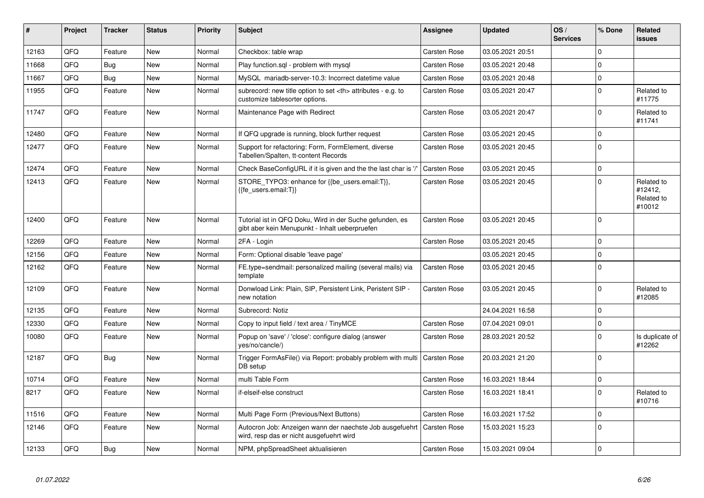| #     | Project | <b>Tracker</b> | <b>Status</b> | <b>Priority</b> | <b>Subject</b>                                                                                             | <b>Assignee</b>                                        | <b>Updated</b>      | OS/<br><b>Services</b> | % Done       | <b>Related</b><br><b>issues</b>               |                      |
|-------|---------|----------------|---------------|-----------------|------------------------------------------------------------------------------------------------------------|--------------------------------------------------------|---------------------|------------------------|--------------|-----------------------------------------------|----------------------|
| 12163 | QFQ     | Feature        | <b>New</b>    | Normal          | Checkbox: table wrap                                                                                       | <b>Carsten Rose</b>                                    | 03.05.2021 20:51    |                        | $\Omega$     |                                               |                      |
| 11668 | QFQ     | Bug            | <b>New</b>    | Normal          | Play function.sql - problem with mysql                                                                     | <b>Carsten Rose</b>                                    | 03.05.2021 20:48    |                        | $\Omega$     |                                               |                      |
| 11667 | QFQ     | Bug            | <b>New</b>    | Normal          | MySQL mariadb-server-10.3: Incorrect datetime value                                                        | Carsten Rose                                           | 03.05.2021 20:48    |                        | $\mathbf 0$  |                                               |                      |
| 11955 | QFQ     | Feature        | <b>New</b>    | Normal          | subrecord: new title option to set <th> attributes - e.g. to<br/>customize tablesorter options.</th>       | attributes - e.g. to<br>customize tablesorter options. | <b>Carsten Rose</b> | 03.05.2021 20:47       |              | $\mathbf{0}$                                  | Related to<br>#11775 |
| 11747 | QFQ     | Feature        | <b>New</b>    | Normal          | Maintenance Page with Redirect                                                                             | <b>Carsten Rose</b>                                    | 03.05.2021 20:47    |                        | $\mathbf{0}$ | Related to<br>#11741                          |                      |
| 12480 | QFQ     | Feature        | New           | Normal          | If QFQ upgrade is running, block further request                                                           | Carsten Rose                                           | 03.05.2021 20:45    |                        | $\mathbf{0}$ |                                               |                      |
| 12477 | QFQ     | Feature        | <b>New</b>    | Normal          | Support for refactoring: Form, FormElement, diverse<br>Tabellen/Spalten, tt-content Records                | <b>Carsten Rose</b>                                    | 03.05.2021 20:45    |                        | $\Omega$     |                                               |                      |
| 12474 | QFQ     | Feature        | <b>New</b>    | Normal          | Check BaseConfigURL if it is given and the the last char is '/'                                            | <b>Carsten Rose</b>                                    | 03.05.2021 20:45    |                        | $\mathbf{0}$ |                                               |                      |
| 12413 | QFQ     | Feature        | <b>New</b>    | Normal          | STORE_TYPO3: enhance for {{be_users.email:T}},<br>{{fe users.email:T}}                                     | Carsten Rose                                           | 03.05.2021 20:45    |                        | 0            | Related to<br>#12412.<br>Related to<br>#10012 |                      |
| 12400 | QFQ     | Feature        | <b>New</b>    | Normal          | Tutorial ist in QFQ Doku, Wird in der Suche gefunden, es<br>gibt aber kein Menupunkt - Inhalt ueberpruefen | Carsten Rose                                           | 03.05.2021 20:45    |                        | $\Omega$     |                                               |                      |
| 12269 | QFQ     | Feature        | <b>New</b>    | Normal          | 2FA - Login                                                                                                | Carsten Rose                                           | 03.05.2021 20:45    |                        | $\Omega$     |                                               |                      |
| 12156 | QFQ     | Feature        | <b>New</b>    | Normal          | Form: Optional disable 'leave page'                                                                        |                                                        | 03.05.2021 20:45    |                        | 0            |                                               |                      |
| 12162 | QFQ     | Feature        | <b>New</b>    | Normal          | FE.type=sendmail: personalized mailing (several mails) via<br>template                                     | Carsten Rose                                           | 03.05.2021 20:45    |                        | $\Omega$     |                                               |                      |
| 12109 | QFQ     | Feature        | <b>New</b>    | Normal          | Donwload Link: Plain, SIP, Persistent Link, Peristent SIP -<br>new notation                                | <b>Carsten Rose</b>                                    | 03.05.2021 20:45    |                        | 0            | Related to<br>#12085                          |                      |
| 12135 | QFQ     | Feature        | <b>New</b>    | Normal          | Subrecord: Notiz                                                                                           |                                                        | 24.04.2021 16:58    |                        | $\mathbf 0$  |                                               |                      |
| 12330 | QFQ     | Feature        | New           | Normal          | Copy to input field / text area / TinyMCE                                                                  | <b>Carsten Rose</b>                                    | 07.04.2021 09:01    |                        | $\mathbf{0}$ |                                               |                      |
| 10080 | QFQ     | Feature        | <b>New</b>    | Normal          | Popup on 'save' / 'close': configure dialog (answer<br>yes/no/cancle/)                                     | <b>Carsten Rose</b>                                    | 28.03.2021 20:52    |                        | $\mathbf 0$  | Is duplicate of<br>#12262                     |                      |
| 12187 | QFQ     | <b>Bug</b>     | <b>New</b>    | Normal          | Trigger FormAsFile() via Report: probably problem with multi<br>DB setup                                   | <b>Carsten Rose</b>                                    | 20.03.2021 21:20    |                        | $\mathbf 0$  |                                               |                      |
| 10714 | QFQ     | Feature        | New           | Normal          | multi Table Form                                                                                           | <b>Carsten Rose</b>                                    | 16.03.2021 18:44    |                        | $\mathbf 0$  |                                               |                      |
| 8217  | QFQ     | Feature        | New           | Normal          | if-elseif-else construct                                                                                   | Carsten Rose                                           | 16.03.2021 18:41    |                        | $\Omega$     | Related to<br>#10716                          |                      |
| 11516 | QFQ     | Feature        | <b>New</b>    | Normal          | Multi Page Form (Previous/Next Buttons)                                                                    | <b>Carsten Rose</b>                                    | 16.03.2021 17:52    |                        | $\mathbf 0$  |                                               |                      |
| 12146 | QFQ     | Feature        | New           | Normal          | Autocron Job: Anzeigen wann der naechste Job ausgefuehrt<br>wird, resp das er nicht ausgefuehrt wird       | <b>Carsten Rose</b>                                    | 15.03.2021 15:23    |                        | $\mathbf{0}$ |                                               |                      |
| 12133 | QFQ     | Bug            | New           | Normal          | NPM, phpSpreadSheet aktualisieren                                                                          | <b>Carsten Rose</b>                                    | 15.03.2021 09:04    |                        | $\pmb{0}$    |                                               |                      |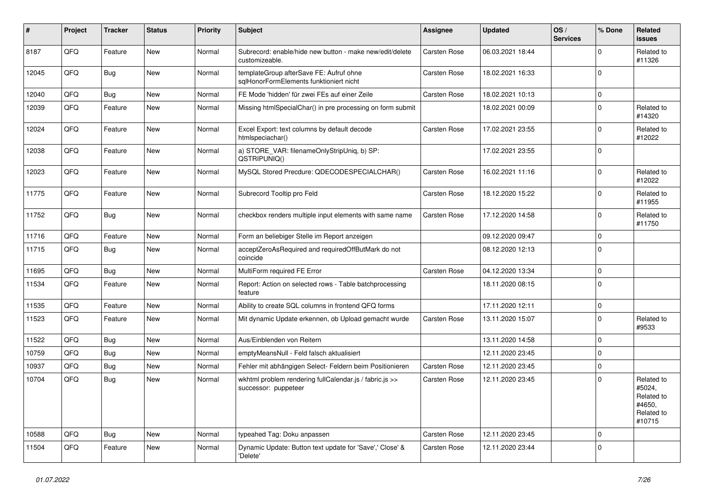| #     | Project | <b>Tracker</b> | <b>Status</b> | <b>Priority</b> | <b>Subject</b>                                                                     | Assignee            | <b>Updated</b>   | OS/<br><b>Services</b> | % Done       | Related<br><b>issues</b>                                             |
|-------|---------|----------------|---------------|-----------------|------------------------------------------------------------------------------------|---------------------|------------------|------------------------|--------------|----------------------------------------------------------------------|
| 8187  | QFQ     | Feature        | New           | Normal          | Subrecord: enable/hide new button - make new/edit/delete<br>customizeable.         | Carsten Rose        | 06.03.2021 18:44 |                        | $\Omega$     | Related to<br>#11326                                                 |
| 12045 | QFQ     | Bug            | <b>New</b>    | Normal          | templateGroup afterSave FE: Aufruf ohne<br>sqlHonorFormElements funktioniert nicht | Carsten Rose        | 18.02.2021 16:33 |                        | 0            |                                                                      |
| 12040 | QFQ     | <b>Bug</b>     | <b>New</b>    | Normal          | FE Mode 'hidden' für zwei FEs auf einer Zeile                                      | Carsten Rose        | 18.02.2021 10:13 |                        | $\Omega$     |                                                                      |
| 12039 | QFQ     | Feature        | <b>New</b>    | Normal          | Missing htmlSpecialChar() in pre processing on form submit                         |                     | 18.02.2021 00:09 |                        | $\Omega$     | Related to<br>#14320                                                 |
| 12024 | QFQ     | Feature        | <b>New</b>    | Normal          | Excel Export: text columns by default decode<br>htmlspeciachar()                   | Carsten Rose        | 17.02.2021 23:55 |                        | $\Omega$     | Related to<br>#12022                                                 |
| 12038 | QFQ     | Feature        | New           | Normal          | a) STORE_VAR: filenameOnlyStripUniq, b) SP:<br>QSTRIPUNIQ()                        |                     | 17.02.2021 23:55 |                        | $\mathbf 0$  |                                                                      |
| 12023 | QFQ     | Feature        | <b>New</b>    | Normal          | MySQL Stored Precdure: QDECODESPECIALCHAR()                                        | Carsten Rose        | 16.02.2021 11:16 |                        | 0            | Related to<br>#12022                                                 |
| 11775 | QFQ     | Feature        | <b>New</b>    | Normal          | Subrecord Tooltip pro Feld                                                         | Carsten Rose        | 18.12.2020 15:22 |                        | $\Omega$     | Related to<br>#11955                                                 |
| 11752 | QFQ     | <b>Bug</b>     | <b>New</b>    | Normal          | checkbox renders multiple input elements with same name                            | Carsten Rose        | 17.12.2020 14:58 |                        | $\mathbf 0$  | Related to<br>#11750                                                 |
| 11716 | QFQ     | Feature        | <b>New</b>    | Normal          | Form an beliebiger Stelle im Report anzeigen                                       |                     | 09.12.2020 09:47 |                        | 0            |                                                                      |
| 11715 | QFQ     | Bug            | <b>New</b>    | Normal          | acceptZeroAsRequired and requiredOffButMark do not<br>coincide                     |                     | 08.12.2020 12:13 |                        | $\Omega$     |                                                                      |
| 11695 | QFQ     | <b>Bug</b>     | New           | Normal          | MultiForm required FE Error                                                        | <b>Carsten Rose</b> | 04.12.2020 13:34 |                        | $\mathbf{0}$ |                                                                      |
| 11534 | QFQ     | Feature        | <b>New</b>    | Normal          | Report: Action on selected rows - Table batchprocessing<br>feature                 |                     | 18.11.2020 08:15 |                        | $\mathbf{0}$ |                                                                      |
| 11535 | QFQ     | Feature        | <b>New</b>    | Normal          | Ability to create SQL columns in frontend QFQ forms                                |                     | 17.11.2020 12:11 |                        | 0            |                                                                      |
| 11523 | QFQ     | Feature        | <b>New</b>    | Normal          | Mit dynamic Update erkennen, ob Upload gemacht wurde                               | Carsten Rose        | 13.11.2020 15:07 |                        | $\Omega$     | Related to<br>#9533                                                  |
| 11522 | QFQ     | Bug            | <b>New</b>    | Normal          | Aus/Einblenden von Reitern                                                         |                     | 13.11.2020 14:58 |                        | $\Omega$     |                                                                      |
| 10759 | QFQ     | Bug            | <b>New</b>    | Normal          | emptyMeansNull - Feld falsch aktualisiert                                          |                     | 12.11.2020 23:45 |                        | 0            |                                                                      |
| 10937 | QFQ     | Bug            | <b>New</b>    | Normal          | Fehler mit abhängigen Select- Feldern beim Positionieren                           | Carsten Rose        | 12.11.2020 23:45 |                        | $\mathbf{0}$ |                                                                      |
| 10704 | QFQ     | <b>Bug</b>     | <b>New</b>    | Normal          | wkhtml problem rendering fullCalendar.js / fabric.js >><br>successor: puppeteer    | <b>Carsten Rose</b> | 12.11.2020 23:45 |                        | $\Omega$     | Related to<br>#5024,<br>Related to<br>#4650.<br>Related to<br>#10715 |
| 10588 | QFQ     | <b>Bug</b>     | <b>New</b>    | Normal          | typeahed Tag: Doku anpassen                                                        | Carsten Rose        | 12.11.2020 23:45 |                        | 0            |                                                                      |
| 11504 | QFQ     | Feature        | New           | Normal          | Dynamic Update: Button text update for 'Save',' Close' &<br>'Delete'               | <b>Carsten Rose</b> | 12.11.2020 23:44 |                        | 0            |                                                                      |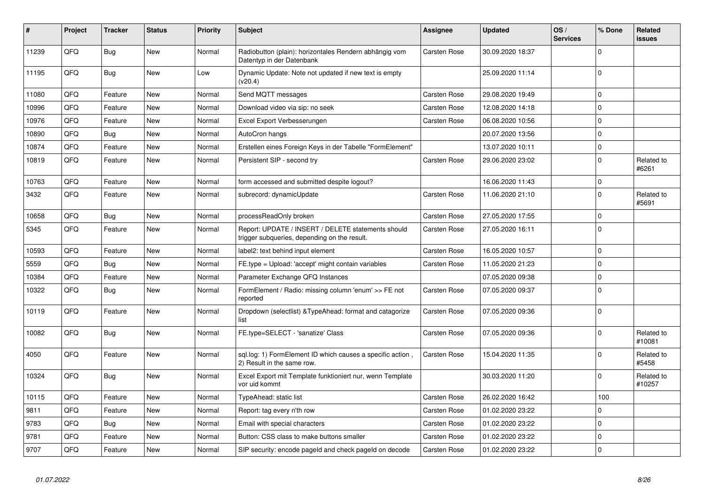| #     | Project | <b>Tracker</b> | <b>Status</b> | <b>Priority</b> | Subject                                                                                            | <b>Assignee</b>     | <b>Updated</b>   | OS/<br><b>Services</b> | % Done       | <b>Related</b><br><b>issues</b> |
|-------|---------|----------------|---------------|-----------------|----------------------------------------------------------------------------------------------------|---------------------|------------------|------------------------|--------------|---------------------------------|
| 11239 | QFQ     | Bug            | New           | Normal          | Radiobutton (plain): horizontales Rendern abhängig vom<br>Datentyp in der Datenbank                | <b>Carsten Rose</b> | 30.09.2020 18:37 |                        | $\Omega$     |                                 |
| 11195 | QFQ     | <b>Bug</b>     | <b>New</b>    | Low             | Dynamic Update: Note not updated if new text is empty<br>(v20.4)                                   |                     | 25.09.2020 11:14 |                        | $\Omega$     |                                 |
| 11080 | QFQ     | Feature        | <b>New</b>    | Normal          | Send MQTT messages                                                                                 | Carsten Rose        | 29.08.2020 19:49 |                        | $\mathbf 0$  |                                 |
| 10996 | QFQ     | Feature        | <b>New</b>    | Normal          | Download video via sip: no seek                                                                    | Carsten Rose        | 12.08.2020 14:18 |                        | $\mathbf 0$  |                                 |
| 10976 | QFQ     | Feature        | <b>New</b>    | Normal          | Excel Export Verbesserungen                                                                        | Carsten Rose        | 06.08.2020 10:56 |                        | $\Omega$     |                                 |
| 10890 | QFQ     | Bug            | <b>New</b>    | Normal          | AutoCron hangs                                                                                     |                     | 20.07.2020 13:56 |                        | $\mathbf 0$  |                                 |
| 10874 | QFQ     | Feature        | New           | Normal          | Erstellen eines Foreign Keys in der Tabelle "FormElement"                                          |                     | 13.07.2020 10:11 |                        | $\mathbf 0$  |                                 |
| 10819 | QFQ     | Feature        | <b>New</b>    | Normal          | Persistent SIP - second try                                                                        | Carsten Rose        | 29.06.2020 23:02 |                        | $\mathbf 0$  | Related to<br>#6261             |
| 10763 | QFQ     | Feature        | <b>New</b>    | Normal          | form accessed and submitted despite logout?                                                        |                     | 16.06.2020 11:43 |                        | $\mathbf 0$  |                                 |
| 3432  | QFQ     | Feature        | <b>New</b>    | Normal          | subrecord: dynamicUpdate                                                                           | Carsten Rose        | 11.06.2020 21:10 |                        | $\mathbf 0$  | Related to<br>#5691             |
| 10658 | QFQ     | <b>Bug</b>     | New           | Normal          | processReadOnly broken                                                                             | <b>Carsten Rose</b> | 27.05.2020 17:55 |                        | $\mathbf 0$  |                                 |
| 5345  | QFQ     | Feature        | <b>New</b>    | Normal          | Report: UPDATE / INSERT / DELETE statements should<br>trigger subqueries, depending on the result. | Carsten Rose        | 27.05.2020 16:11 |                        | $\Omega$     |                                 |
| 10593 | QFQ     | Feature        | <b>New</b>    | Normal          | label2: text behind input element                                                                  | Carsten Rose        | 16.05.2020 10:57 |                        | $\mathbf 0$  |                                 |
| 5559  | QFQ     | Bug            | <b>New</b>    | Normal          | FE.type = Upload: 'accept' might contain variables                                                 | Carsten Rose        | 11.05.2020 21:23 |                        | $\mathbf{0}$ |                                 |
| 10384 | QFQ     | Feature        | <b>New</b>    | Normal          | Parameter Exchange QFQ Instances                                                                   |                     | 07.05.2020 09:38 |                        | $\pmb{0}$    |                                 |
| 10322 | QFQ     | Bug            | <b>New</b>    | Normal          | FormElement / Radio: missing column 'enum' >> FE not<br>reported                                   | Carsten Rose        | 07.05.2020 09:37 |                        | $\mathbf{0}$ |                                 |
| 10119 | QFQ     | Feature        | <b>New</b>    | Normal          | Dropdown (selectlist) & Type Ahead: format and catagorize<br>list                                  | Carsten Rose        | 07.05.2020 09:36 |                        | $\mathbf 0$  |                                 |
| 10082 | QFQ     | Bug            | <b>New</b>    | Normal          | FE.type=SELECT - 'sanatize' Class                                                                  | Carsten Rose        | 07.05.2020 09:36 |                        | $\mathbf 0$  | Related to<br>#10081            |
| 4050  | QFQ     | Feature        | <b>New</b>    | Normal          | sql.log: 1) FormElement ID which causes a specific action,<br>2) Result in the same row.           | Carsten Rose        | 15.04.2020 11:35 |                        | $\Omega$     | Related to<br>#5458             |
| 10324 | QFQ     | Bug            | New           | Normal          | Excel Export mit Template funktioniert nur, wenn Template<br>vor uid kommt                         |                     | 30.03.2020 11:20 |                        | $\Omega$     | Related to<br>#10257            |
| 10115 | QFQ     | Feature        | <b>New</b>    | Normal          | TypeAhead: static list                                                                             | Carsten Rose        | 26.02.2020 16:42 |                        | 100          |                                 |
| 9811  | QFQ     | Feature        | <b>New</b>    | Normal          | Report: tag every n'th row                                                                         | Carsten Rose        | 01.02.2020 23:22 |                        | $\pmb{0}$    |                                 |
| 9783  | QFQ     | Bug            | <b>New</b>    | Normal          | Email with special characters                                                                      | <b>Carsten Rose</b> | 01.02.2020 23:22 |                        | $\mathbf 0$  |                                 |
| 9781  | QFQ     | Feature        | <b>New</b>    | Normal          | Button: CSS class to make buttons smaller                                                          | <b>Carsten Rose</b> | 01.02.2020 23:22 |                        | $\mathbf 0$  |                                 |
| 9707  | QFQ     | Feature        | New           | Normal          | SIP security: encode pageld and check pageld on decode                                             | <b>Carsten Rose</b> | 01.02.2020 23:22 |                        | $\mathbf 0$  |                                 |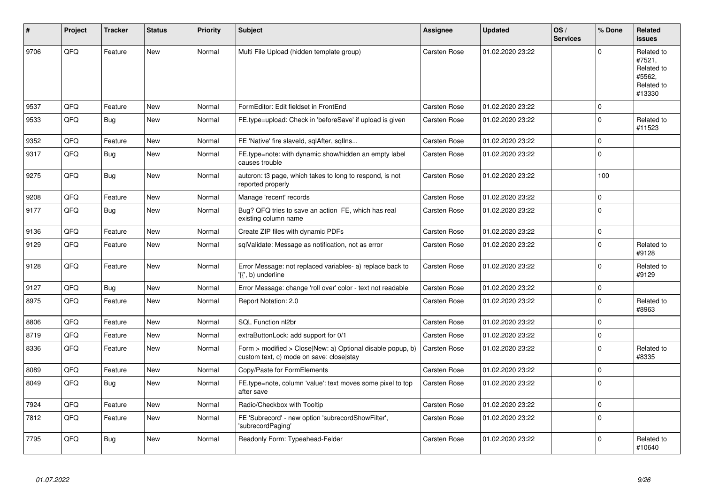| $\sharp$ | Project | <b>Tracker</b> | <b>Status</b> | <b>Priority</b> | <b>Subject</b>                                                                                         | Assignee            | <b>Updated</b>   | OS/<br><b>Services</b> | % Done       | Related<br><b>issues</b>                                             |
|----------|---------|----------------|---------------|-----------------|--------------------------------------------------------------------------------------------------------|---------------------|------------------|------------------------|--------------|----------------------------------------------------------------------|
| 9706     | QFQ     | Feature        | <b>New</b>    | Normal          | Multi File Upload (hidden template group)                                                              | Carsten Rose        | 01.02.2020 23:22 |                        | $\Omega$     | Related to<br>#7521,<br>Related to<br>#5562,<br>Related to<br>#13330 |
| 9537     | QFQ     | Feature        | <b>New</b>    | Normal          | FormEditor: Edit fieldset in FrontEnd                                                                  | <b>Carsten Rose</b> | 01.02.2020 23:22 |                        | $\mathbf 0$  |                                                                      |
| 9533     | QFQ     | Bug            | <b>New</b>    | Normal          | FE.type=upload: Check in 'beforeSave' if upload is given                                               | Carsten Rose        | 01.02.2020 23:22 |                        | $\mathbf{0}$ | Related to<br>#11523                                                 |
| 9352     | QFQ     | Feature        | New           | Normal          | FE 'Native' fire slaveld, sqlAfter, sqllns                                                             | Carsten Rose        | 01.02.2020 23:22 |                        | 0            |                                                                      |
| 9317     | QFQ     | Bug            | <b>New</b>    | Normal          | FE.type=note: with dynamic show/hidden an empty label<br>causes trouble                                | Carsten Rose        | 01.02.2020 23:22 |                        | $\Omega$     |                                                                      |
| 9275     | QFQ     | Bug            | New           | Normal          | autcron: t3 page, which takes to long to respond, is not<br>reported properly                          | <b>Carsten Rose</b> | 01.02.2020 23:22 |                        | 100          |                                                                      |
| 9208     | QFQ     | Feature        | <b>New</b>    | Normal          | Manage 'recent' records                                                                                | Carsten Rose        | 01.02.2020 23:22 |                        | 0            |                                                                      |
| 9177     | QFQ     | Bug            | <b>New</b>    | Normal          | Bug? QFQ tries to save an action FE, which has real<br>existing column name                            | Carsten Rose        | 01.02.2020 23:22 |                        | $\Omega$     |                                                                      |
| 9136     | QFQ     | Feature        | <b>New</b>    | Normal          | Create ZIP files with dynamic PDFs                                                                     | Carsten Rose        | 01.02.2020 23:22 |                        | $\mathbf 0$  |                                                                      |
| 9129     | QFQ     | Feature        | New           | Normal          | sqlValidate: Message as notification, not as error                                                     | Carsten Rose        | 01.02.2020 23:22 |                        | $\Omega$     | Related to<br>#9128                                                  |
| 9128     | QFQ     | Feature        | <b>New</b>    | Normal          | Error Message: not replaced variables- a) replace back to<br>'{{', b) underline                        | Carsten Rose        | 01.02.2020 23:22 |                        | $\Omega$     | Related to<br>#9129                                                  |
| 9127     | QFQ     | <b>Bug</b>     | <b>New</b>    | Normal          | Error Message: change 'roll over' color - text not readable                                            | <b>Carsten Rose</b> | 01.02.2020 23:22 |                        | $\mathbf{0}$ |                                                                      |
| 8975     | QFQ     | Feature        | <b>New</b>    | Normal          | Report Notation: 2.0                                                                                   | Carsten Rose        | 01.02.2020 23:22 |                        | $\Omega$     | Related to<br>#8963                                                  |
| 8806     | QFQ     | Feature        | <b>New</b>    | Normal          | SQL Function nl2br                                                                                     | Carsten Rose        | 01.02.2020 23:22 |                        | $\mathbf{0}$ |                                                                      |
| 8719     | QFQ     | Feature        | <b>New</b>    | Normal          | extraButtonLock: add support for 0/1                                                                   | Carsten Rose        | 01.02.2020 23:22 |                        | $\pmb{0}$    |                                                                      |
| 8336     | QFQ     | Feature        | New           | Normal          | Form > modified > Close New: a) Optional disable popup, b)<br>custom text, c) mode on save: close stay | Carsten Rose        | 01.02.2020 23:22 |                        | $\Omega$     | Related to<br>#8335                                                  |
| 8089     | QFQ     | Feature        | <b>New</b>    | Normal          | Copy/Paste for FormElements                                                                            | Carsten Rose        | 01.02.2020 23:22 |                        | $\Omega$     |                                                                      |
| 8049     | QFQ     | Bug            | New           | Normal          | FE.type=note, column 'value': text moves some pixel to top<br>after save                               | <b>Carsten Rose</b> | 01.02.2020 23:22 |                        | $\Omega$     |                                                                      |
| 7924     | QFQ     | Feature        | <b>New</b>    | Normal          | Radio/Checkbox with Tooltip                                                                            | Carsten Rose        | 01.02.2020 23:22 |                        | 0            |                                                                      |
| 7812     | QFQ     | Feature        | <b>New</b>    | Normal          | FE 'Subrecord' - new option 'subrecordShowFilter',<br>'subrecordPaging'                                | Carsten Rose        | 01.02.2020 23:22 |                        | $\Omega$     |                                                                      |
| 7795     | QFQ     | Bug            | <b>New</b>    | Normal          | Readonly Form: Typeahead-Felder                                                                        | Carsten Rose        | 01.02.2020 23:22 |                        | $\Omega$     | Related to<br>#10640                                                 |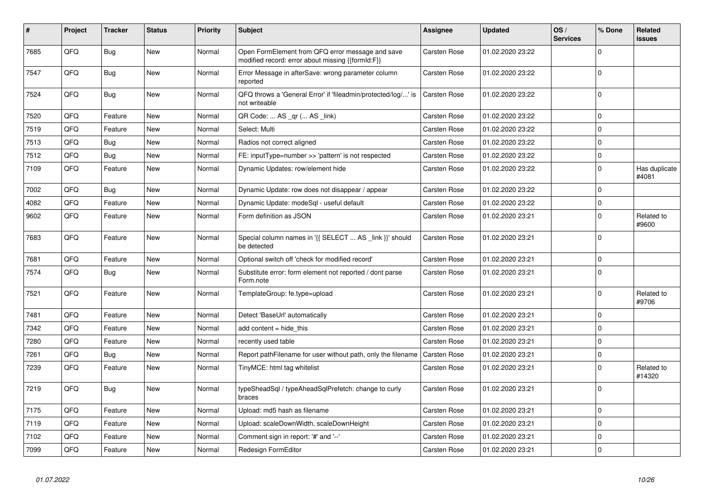| $\vert$ # | Project | <b>Tracker</b> | <b>Status</b> | <b>Priority</b> | <b>Subject</b>                                                                                        | Assignee            | <b>Updated</b>   | OS/<br><b>Services</b> | % Done      | <b>Related</b><br>issues |
|-----------|---------|----------------|---------------|-----------------|-------------------------------------------------------------------------------------------------------|---------------------|------------------|------------------------|-------------|--------------------------|
| 7685      | QFQ     | <b>Bug</b>     | <b>New</b>    | Normal          | Open FormElement from QFQ error message and save<br>modified record: error about missing {{formId:F}} | <b>Carsten Rose</b> | 01.02.2020 23:22 |                        | $\mathbf 0$ |                          |
| 7547      | QFQ     | Bug            | <b>New</b>    | Normal          | Error Message in afterSave: wrong parameter column<br>reported                                        | Carsten Rose        | 01.02.2020 23:22 |                        | $\mathbf 0$ |                          |
| 7524      | QFQ     | Bug            | <b>New</b>    | Normal          | QFQ throws a 'General Error' if 'fileadmin/protected/log/' is<br>not writeable                        | Carsten Rose        | 01.02.2020 23:22 |                        | $\mathbf 0$ |                          |
| 7520      | QFQ     | Feature        | New           | Normal          | QR Code:  AS _qr ( AS _link)                                                                          | Carsten Rose        | 01.02.2020 23:22 |                        | $\mathbf 0$ |                          |
| 7519      | QFQ     | Feature        | <b>New</b>    | Normal          | Select: Multi                                                                                         | <b>Carsten Rose</b> | 01.02.2020 23:22 |                        | $\mathbf 0$ |                          |
| 7513      | QFQ     | Bug            | New           | Normal          | Radios not correct aligned                                                                            | <b>Carsten Rose</b> | 01.02.2020 23:22 |                        | $\mathbf 0$ |                          |
| 7512      | QFQ     | Bug            | <b>New</b>    | Normal          | FE: inputType=number >> 'pattern' is not respected                                                    | <b>Carsten Rose</b> | 01.02.2020 23:22 |                        | $\mathbf 0$ |                          |
| 7109      | QFQ     | Feature        | New           | Normal          | Dynamic Updates: row/element hide                                                                     | Carsten Rose        | 01.02.2020 23:22 |                        | $\pmb{0}$   | Has duplicate<br>#4081   |
| 7002      | QFQ     | Bug            | <b>New</b>    | Normal          | Dynamic Update: row does not disappear / appear                                                       | Carsten Rose        | 01.02.2020 23:22 |                        | $\mathbf 0$ |                          |
| 4082      | QFQ     | Feature        | New           | Normal          | Dynamic Update: modeSql - useful default                                                              | Carsten Rose        | 01.02.2020 23:22 |                        | $\pmb{0}$   |                          |
| 9602      | QFQ     | Feature        | New           | Normal          | Form definition as JSON                                                                               | Carsten Rose        | 01.02.2020 23:21 |                        | $\mathbf 0$ | Related to<br>#9600      |
| 7683      | QFQ     | Feature        | New           | Normal          | Special column names in '{{ SELECT  AS _link }}' should<br>be detected                                | Carsten Rose        | 01.02.2020 23:21 |                        | $\mathbf 0$ |                          |
| 7681      | QFQ     | Feature        | <b>New</b>    | Normal          | Optional switch off 'check for modified record'                                                       | <b>Carsten Rose</b> | 01.02.2020 23:21 |                        | $\pmb{0}$   |                          |
| 7574      | QFQ     | <b>Bug</b>     | New           | Normal          | Substitute error: form element not reported / dont parse<br>Form.note                                 | Carsten Rose        | 01.02.2020 23:21 |                        | $\pmb{0}$   |                          |
| 7521      | QFQ     | Feature        | <b>New</b>    | Normal          | TemplateGroup: fe.type=upload                                                                         | Carsten Rose        | 01.02.2020 23:21 |                        | $\pmb{0}$   | Related to<br>#9706      |
| 7481      | QFQ     | Feature        | New           | Normal          | Detect 'BaseUrl' automatically                                                                        | <b>Carsten Rose</b> | 01.02.2020 23:21 |                        | $\pmb{0}$   |                          |
| 7342      | QFQ     | Feature        | <b>New</b>    | Normal          | add content $=$ hide this                                                                             | Carsten Rose        | 01.02.2020 23:21 |                        | $\pmb{0}$   |                          |
| 7280      | QFQ     | Feature        | New           | Normal          | recently used table                                                                                   | <b>Carsten Rose</b> | 01.02.2020 23:21 |                        | $\mathbf 0$ |                          |
| 7261      | QFQ     | Bug            | New           | Normal          | Report pathFilename for user without path, only the filename                                          | Carsten Rose        | 01.02.2020 23:21 |                        | $\pmb{0}$   |                          |
| 7239      | QFQ     | Feature        | New           | Normal          | TinyMCE: html tag whitelist                                                                           | Carsten Rose        | 01.02.2020 23:21 |                        | $\mathbf 0$ | Related to<br>#14320     |
| 7219      | QFQ     | <b>Bug</b>     | <b>New</b>    | Normal          | typeSheadSql / typeAheadSqlPrefetch: change to curly<br>braces                                        | Carsten Rose        | 01.02.2020 23:21 |                        | $\Omega$    |                          |
| 7175      | QFQ     | Feature        | <b>New</b>    | Normal          | Upload: md5 hash as filename                                                                          | Carsten Rose        | 01.02.2020 23:21 |                        | $\pmb{0}$   |                          |
| 7119      | QFQ     | Feature        | New           | Normal          | Upload: scaleDownWidth, scaleDownHeight                                                               | Carsten Rose        | 01.02.2020 23:21 |                        | $\mathbf 0$ |                          |
| 7102      | QFQ     | Feature        | New           | Normal          | Comment sign in report: '#' and '--'                                                                  | <b>Carsten Rose</b> | 01.02.2020 23:21 |                        | $\pmb{0}$   |                          |
| 7099      | QFQ     | Feature        | <b>New</b>    | Normal          | Redesign FormEditor                                                                                   | <b>Carsten Rose</b> | 01.02.2020 23:21 |                        | $\mathbf 0$ |                          |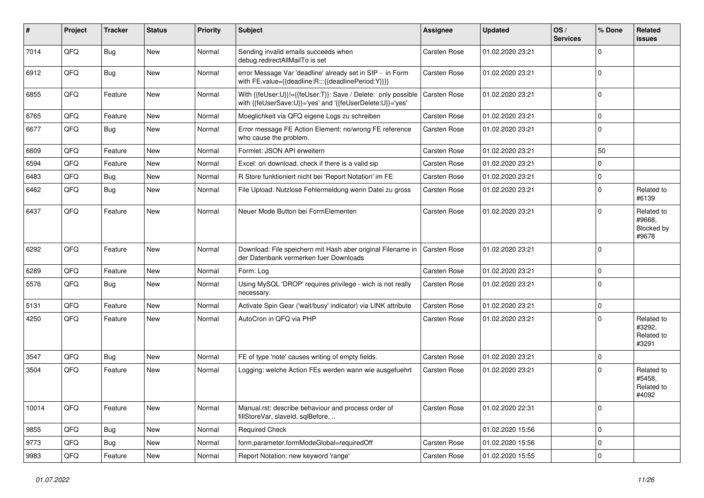| #     | Project | <b>Tracker</b> | <b>Status</b> | <b>Priority</b> | Subject                                                                                                                    | <b>Assignee</b>     | <b>Updated</b>   | OS/<br><b>Services</b> | % Done      | <b>Related</b><br>issues                    |
|-------|---------|----------------|---------------|-----------------|----------------------------------------------------------------------------------------------------------------------------|---------------------|------------------|------------------------|-------------|---------------------------------------------|
| 7014  | QFQ     | Bug            | New           | Normal          | Sending invalid emails succeeds when<br>debug.redirectAllMailTo is set                                                     | Carsten Rose        | 01.02.2020 23:21 |                        | 0           |                                             |
| 6912  | QFQ     | Bug            | New           | Normal          | error Message Var 'deadline' already set in SIP - in Form<br>with FE.value={{deadline:R:::{{deadlinePeriod:Y}}}}           | Carsten Rose        | 01.02.2020 23:21 |                        | $\mathbf 0$ |                                             |
| 6855  | QFQ     | Feature        | <b>New</b>    | Normal          | With {{feUser:U}}!={{feUser:T}}: Save / Delete: only possible<br>with {{feUserSave:U}}='yes' and '{{feUserDelete:U}}='yes' | Carsten Rose        | 01.02.2020 23:21 |                        | 0           |                                             |
| 6765  | QFQ     | Feature        | <b>New</b>    | Normal          | Moeglichkeit via QFQ eigene Logs zu schreiben                                                                              | Carsten Rose        | 01.02.2020 23:21 |                        | 0           |                                             |
| 6677  | QFQ     | Bug            | New           | Normal          | Error message FE Action Element: no/wrong FE reference<br>who cause the problem.                                           | Carsten Rose        | 01.02.2020 23:21 |                        | 0           |                                             |
| 6609  | QFQ     | Feature        | <b>New</b>    | Normal          | Formlet: JSON API erweitern                                                                                                | Carsten Rose        | 01.02.2020 23:21 |                        | 50          |                                             |
| 6594  | QFQ     | Feature        | New           | Normal          | Excel: on download, check if there is a valid sip                                                                          | Carsten Rose        | 01.02.2020 23:21 |                        | 0           |                                             |
| 6483  | QFQ     | Bug            | New           | Normal          | R Store funktioniert nicht bei 'Report Notation' im FE                                                                     | Carsten Rose        | 01.02.2020 23:21 |                        | 0           |                                             |
| 6462  | QFQ     | Bug            | <b>New</b>    | Normal          | File Upload: Nutzlose Fehlermeldung wenn Datei zu gross                                                                    | Carsten Rose        | 01.02.2020 23:21 |                        | 0           | Related to<br>#6139                         |
| 6437  | QFQ     | Feature        | <b>New</b>    | Normal          | Neuer Mode Button bei FormElementen                                                                                        | Carsten Rose        | 01.02.2020 23:21 |                        | 0           | Related to<br>#9668,<br>Blocked by<br>#9678 |
| 6292  | QFQ     | Feature        | <b>New</b>    | Normal          | Download: File speichern mit Hash aber original Filename in<br>der Datenbank vermerken fuer Downloads                      | <b>Carsten Rose</b> | 01.02.2020 23:21 |                        | 0           |                                             |
| 6289  | QFQ     | Feature        | <b>New</b>    | Normal          | Form: Log                                                                                                                  | Carsten Rose        | 01.02.2020 23:21 |                        | 0           |                                             |
| 5576  | QFQ     | Bug            | <b>New</b>    | Normal          | Using MySQL 'DROP' requires privilege - wich is not really<br>necessary.                                                   | Carsten Rose        | 01.02.2020 23:21 |                        | $\mathbf 0$ |                                             |
| 5131  | QFQ     | Feature        | <b>New</b>    | Normal          | Activate Spin Gear ('wait/busy' indicator) via LINK attribute                                                              | Carsten Rose        | 01.02.2020 23:21 |                        | 0           |                                             |
| 4250  | QFQ     | Feature        | New           | Normal          | AutoCron in QFQ via PHP                                                                                                    | Carsten Rose        | 01.02.2020 23:21 |                        | $\Omega$    | Related to<br>#3292.<br>Related to<br>#3291 |
| 3547  | QFQ     | Bug            | <b>New</b>    | Normal          | FE of type 'note' causes writing of empty fields.                                                                          | <b>Carsten Rose</b> | 01.02.2020 23:21 |                        | $\mathbf 0$ |                                             |
| 3504  | QFQ     | Feature        | New           | Normal          | Logging: welche Action FEs werden wann wie ausgefuehrt                                                                     | Carsten Rose        | 01.02.2020 23:21 |                        | 0           | Related to<br>#5458.<br>Related to<br>#4092 |
| 10014 | QFQ     | Feature        | New           | Normal          | Manual.rst: describe behaviour and process order of<br>fillStoreVar, slaveId, sqlBefore,                                   | Carsten Rose        | 01.02.2020 22:31 |                        | 0           |                                             |
| 9855  | QFQ     | Bug            | <b>New</b>    | Normal          | Required Check                                                                                                             |                     | 01.02.2020 15:56 |                        | $\mathbf 0$ |                                             |
| 9773  | QFQ     | Bug            | New           | Normal          | form.parameter.formModeGlobal=requiredOff                                                                                  | Carsten Rose        | 01.02.2020 15:56 |                        | 0           |                                             |
| 9983  | QFQ     | Feature        | New           | Normal          | Report Notation: new keyword 'range'                                                                                       | Carsten Rose        | 01.02.2020 15:55 |                        | 0           |                                             |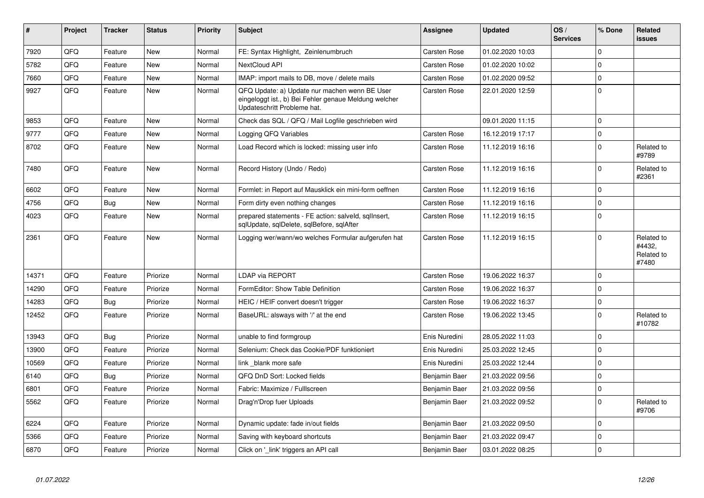| #     | Project | <b>Tracker</b> | <b>Status</b> | <b>Priority</b> | <b>Subject</b>                                                                                                                        | <b>Assignee</b>     | <b>Updated</b>   | OS/<br><b>Services</b> | % Done       | <b>Related</b><br><b>issues</b>             |
|-------|---------|----------------|---------------|-----------------|---------------------------------------------------------------------------------------------------------------------------------------|---------------------|------------------|------------------------|--------------|---------------------------------------------|
| 7920  | QFQ     | Feature        | <b>New</b>    | Normal          | FE: Syntax Highlight, Zeinlenumbruch                                                                                                  | Carsten Rose        | 01.02.2020 10:03 |                        | $\Omega$     |                                             |
| 5782  | QFQ     | Feature        | <b>New</b>    | Normal          | NextCloud API                                                                                                                         | <b>Carsten Rose</b> | 01.02.2020 10:02 |                        | $\Omega$     |                                             |
| 7660  | QFQ     | Feature        | <b>New</b>    | Normal          | IMAP: import mails to DB, move / delete mails                                                                                         | <b>Carsten Rose</b> | 01.02.2020 09:52 |                        | $\mathbf 0$  |                                             |
| 9927  | QFQ     | Feature        | <b>New</b>    | Normal          | QFQ Update: a) Update nur machen wenn BE User<br>eingeloggt ist., b) Bei Fehler genaue Meldung welcher<br>Updateschritt Probleme hat. | <b>Carsten Rose</b> | 22.01.2020 12:59 |                        | $\mathbf{0}$ |                                             |
| 9853  | QFQ     | Feature        | <b>New</b>    | Normal          | Check das SQL / QFQ / Mail Logfile geschrieben wird                                                                                   |                     | 09.01.2020 11:15 |                        | $\Omega$     |                                             |
| 9777  | QFQ     | Feature        | <b>New</b>    | Normal          | Logging QFQ Variables                                                                                                                 | Carsten Rose        | 16.12.2019 17:17 |                        | $\mathbf{0}$ |                                             |
| 8702  | QFQ     | Feature        | <b>New</b>    | Normal          | Load Record which is locked: missing user info                                                                                        | Carsten Rose        | 11.12.2019 16:16 |                        | $\mathbf{0}$ | Related to<br>#9789                         |
| 7480  | QFQ     | Feature        | <b>New</b>    | Normal          | Record History (Undo / Redo)                                                                                                          | Carsten Rose        | 11.12.2019 16:16 |                        | $\Omega$     | Related to<br>#2361                         |
| 6602  | QFQ     | Feature        | <b>New</b>    | Normal          | Formlet: in Report auf Mausklick ein mini-form oeffnen                                                                                | Carsten Rose        | 11.12.2019 16:16 |                        | $\mathbf{0}$ |                                             |
| 4756  | QFQ     | Bug            | <b>New</b>    | Normal          | Form dirty even nothing changes                                                                                                       | Carsten Rose        | 11.12.2019 16:16 |                        | $\pmb{0}$    |                                             |
| 4023  | QFQ     | Feature        | <b>New</b>    | Normal          | prepared statements - FE action: salveld, sqllnsert,<br>sqlUpdate, sqlDelete, sqlBefore, sqlAfter                                     | Carsten Rose        | 11.12.2019 16:15 |                        | $\mathbf{0}$ |                                             |
| 2361  | QFQ     | Feature        | <b>New</b>    | Normal          | Logging wer/wann/wo welches Formular aufgerufen hat                                                                                   | <b>Carsten Rose</b> | 11.12.2019 16:15 |                        | $\Omega$     | Related to<br>#4432,<br>Related to<br>#7480 |
| 14371 | QFQ     | Feature        | Priorize      | Normal          | LDAP via REPORT                                                                                                                       | <b>Carsten Rose</b> | 19.06.2022 16:37 |                        | $\mathbf 0$  |                                             |
| 14290 | QFQ     | Feature        | Priorize      | Normal          | FormEditor: Show Table Definition                                                                                                     | <b>Carsten Rose</b> | 19.06.2022 16:37 |                        | $\Omega$     |                                             |
| 14283 | QFQ     | Bug            | Priorize      | Normal          | HEIC / HEIF convert doesn't trigger                                                                                                   | Carsten Rose        | 19.06.2022 16:37 |                        | $\mathbf 0$  |                                             |
| 12452 | QFQ     | Feature        | Priorize      | Normal          | BaseURL: alsways with '/' at the end                                                                                                  | <b>Carsten Rose</b> | 19.06.2022 13:45 |                        | $\mathbf{0}$ | Related to<br>#10782                        |
| 13943 | QFQ     | Bug            | Priorize      | Normal          | unable to find formgroup                                                                                                              | Enis Nuredini       | 28.05.2022 11:03 |                        | $\mathbf{0}$ |                                             |
| 13900 | QFQ     | Feature        | Priorize      | Normal          | Selenium: Check das Cookie/PDF funktioniert                                                                                           | Enis Nuredini       | 25.03.2022 12:45 |                        | 0            |                                             |
| 10569 | QFQ     | Feature        | Priorize      | Normal          | link blank more safe                                                                                                                  | Enis Nuredini       | 25.03.2022 12:44 |                        | $\mathbf{0}$ |                                             |
| 6140  | QFQ     | <b>Bug</b>     | Priorize      | Normal          | QFQ DnD Sort: Locked fields                                                                                                           | Benjamin Baer       | 21.03.2022 09:56 |                        | $\pmb{0}$    |                                             |
| 6801  | QFQ     | Feature        | Priorize      | Normal          | Fabric: Maximize / Fulllscreen                                                                                                        | Benjamin Baer       | 21.03.2022 09:56 |                        | $\mathbf 0$  |                                             |
| 5562  | QFQ     | Feature        | Priorize      | Normal          | Drag'n'Drop fuer Uploads                                                                                                              | Benjamin Baer       | 21.03.2022 09:52 |                        | $\mathbf 0$  | Related to<br>#9706                         |
| 6224  | QFQ     | Feature        | Priorize      | Normal          | Dynamic update: fade in/out fields                                                                                                    | Benjamin Baer       | 21.03.2022 09:50 |                        | $\mathbf 0$  |                                             |
| 5366  | QFQ     | Feature        | Priorize      | Normal          | Saving with keyboard shortcuts                                                                                                        | Benjamin Baer       | 21.03.2022 09:47 |                        | 0            |                                             |
| 6870  | QFQ     | Feature        | Priorize      | Normal          | Click on 'link' triggers an API call                                                                                                  | Benjamin Baer       | 03.01.2022 08:25 |                        | $\pmb{0}$    |                                             |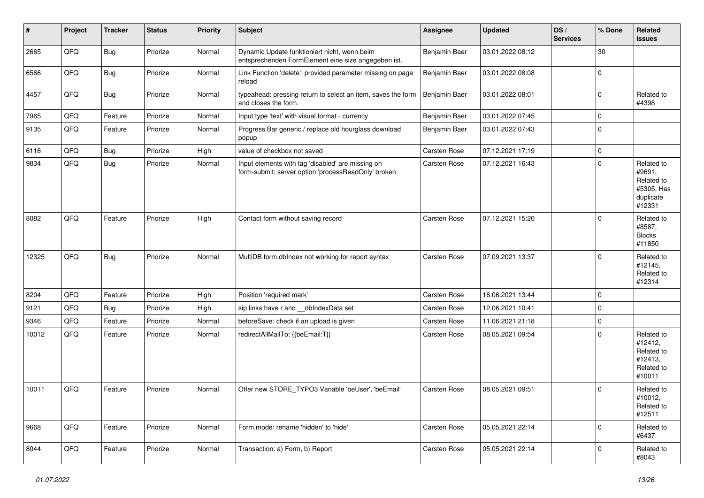| $\vert$ # | <b>Project</b> | <b>Tracker</b> | <b>Status</b> | <b>Priority</b> | <b>Subject</b>                                                                                           | Assignee            | <b>Updated</b>   | OS/<br><b>Services</b> | % Done         | <b>Related</b><br><b>issues</b>                                         |
|-----------|----------------|----------------|---------------|-----------------|----------------------------------------------------------------------------------------------------------|---------------------|------------------|------------------------|----------------|-------------------------------------------------------------------------|
| 2665      | QFQ            | <b>Bug</b>     | Priorize      | Normal          | Dynamic Update funktioniert nicht, wenn beim<br>entsprechenden FormElement eine size angegeben ist.      | Benjamin Baer       | 03.01.2022 08:12 |                        | 30             |                                                                         |
| 6566      | QFQ            | Bug            | Priorize      | Normal          | Link Function 'delete': provided parameter missing on page<br>reload                                     | Benjamin Baer       | 03.01.2022 08:08 |                        | $\overline{0}$ |                                                                         |
| 4457      | QFQ            | <b>Bug</b>     | Priorize      | Normal          | typeahead: pressing return to select an item, saves the form<br>and closes the form.                     | Benjamin Baer       | 03.01.2022 08:01 |                        | $\Omega$       | Related to<br>#4398                                                     |
| 7965      | QFQ            | Feature        | Priorize      | Normal          | Input type 'text' with visual format - currency                                                          | Benjamin Baer       | 03.01.2022 07:45 |                        | $\mathbf{0}$   |                                                                         |
| 9135      | QFQ            | Feature        | Priorize      | Normal          | Progress Bar generic / replace old hourglass download<br>popup                                           | Benjamin Baer       | 03.01.2022 07:43 |                        | $\Omega$       |                                                                         |
| 6116      | QFQ            | Bug            | Priorize      | High            | value of checkbox not saved                                                                              | <b>Carsten Rose</b> | 07.12.2021 17:19 |                        | $\mathbf 0$    |                                                                         |
| 9834      | QFQ            | Bug            | Priorize      | Normal          | Input elements with tag 'disabled' are missing on<br>form-submit: server option 'processReadOnly' broken | Carsten Rose        | 07.12.2021 16:43 |                        | 0              | Related to<br>#9691,<br>Related to<br>#5305, Has<br>duplicate<br>#12331 |
| 8082      | QFQ            | Feature        | Priorize      | High            | Contact form without saving record                                                                       | Carsten Rose        | 07.12.2021 15:20 |                        | $\Omega$       | Related to<br>#8587,<br><b>Blocks</b><br>#11850                         |
| 12325     | QFQ            | Bug            | Priorize      | Normal          | MultiDB form.dblndex not working for report syntax                                                       | <b>Carsten Rose</b> | 07.09.2021 13:37 |                        | $\Omega$       | Related to<br>#12145,<br>Related to<br>#12314                           |
| 8204      | QFQ            | Feature        | Priorize      | High            | Position 'required mark'                                                                                 | Carsten Rose        | 16.06.2021 13:44 |                        | 0              |                                                                         |
| 9121      | QFQ            | <b>Bug</b>     | Priorize      | High            | sip links have r and __dbIndexData set                                                                   | Carsten Rose        | 12.06.2021 10:41 |                        | $\mathbf 0$    |                                                                         |
| 9346      | QFQ            | Feature        | Priorize      | Normal          | beforeSave: check if an upload is given                                                                  | <b>Carsten Rose</b> | 11.06.2021 21:18 |                        | $\pmb{0}$      |                                                                         |
| 10012     | QFQ            | Feature        | Priorize      | Normal          | redirectAllMailTo: {{beEmail:T}}                                                                         | <b>Carsten Rose</b> | 08.05.2021 09:54 |                        | $\Omega$       | Related to<br>#12412,<br>Related to<br>#12413,<br>Related to<br>#10011  |
| 10011     | QFQ            | Feature        | Priorize      | Normal          | Offer new STORE TYPO3 Variable 'beUser', 'beEmail'                                                       | <b>Carsten Rose</b> | 08.05.2021 09:51 |                        | $\Omega$       | Related to<br>#10012,<br>Related to<br>#12511                           |
| 9668      | QFQ            | Feature        | Priorize      | Normal          | Form.mode: rename 'hidden' to 'hide'                                                                     | Carsten Rose        | 05.05.2021 22:14 |                        | $\Omega$       | Related to<br>#6437                                                     |
| 8044      | QFQ            | Feature        | Priorize      | Normal          | Transaction: a) Form, b) Report                                                                          | <b>Carsten Rose</b> | 05.05.2021 22:14 |                        | $\Omega$       | Related to<br>#8043                                                     |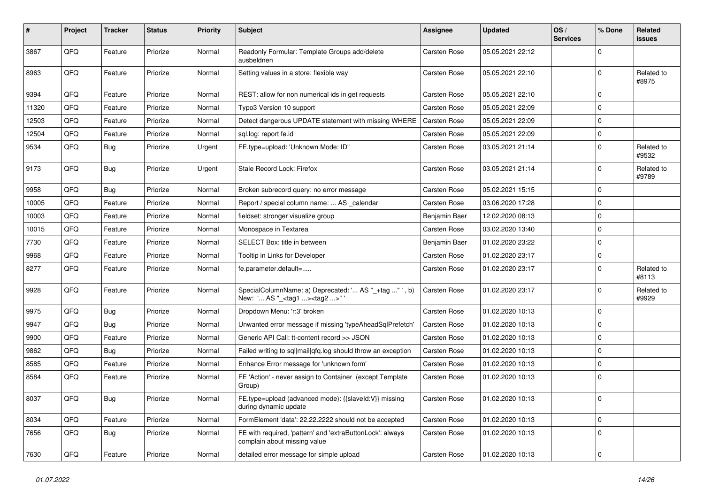| #     | Project | <b>Tracker</b> | <b>Status</b> | <b>Priority</b> | <b>Subject</b>                                                                                     | Assignee            | <b>Updated</b>   | OS/<br><b>Services</b> | % Done      | Related<br>issues   |
|-------|---------|----------------|---------------|-----------------|----------------------------------------------------------------------------------------------------|---------------------|------------------|------------------------|-------------|---------------------|
| 3867  | QFQ     | Feature        | Priorize      | Normal          | Readonly Formular: Template Groups add/delete<br>ausbeldnen                                        | Carsten Rose        | 05.05.2021 22:12 |                        | $\Omega$    |                     |
| 8963  | QFQ     | Feature        | Priorize      | Normal          | Setting values in a store: flexible way                                                            | Carsten Rose        | 05.05.2021 22:10 |                        | 0           | Related to<br>#8975 |
| 9394  | QFQ     | Feature        | Priorize      | Normal          | REST: allow for non numerical ids in get requests                                                  | Carsten Rose        | 05.05.2021 22:10 |                        | $\Omega$    |                     |
| 11320 | QFQ     | Feature        | Priorize      | Normal          | Typo3 Version 10 support                                                                           | <b>Carsten Rose</b> | 05.05.2021 22:09 |                        | $\mathbf 0$ |                     |
| 12503 | QFQ     | Feature        | Priorize      | Normal          | Detect dangerous UPDATE statement with missing WHERE                                               | <b>Carsten Rose</b> | 05.05.2021 22:09 |                        | $\Omega$    |                     |
| 12504 | QFQ     | Feature        | Priorize      | Normal          | sql.log: report fe.id                                                                              | Carsten Rose        | 05.05.2021 22:09 |                        | $\mathbf 0$ |                     |
| 9534  | QFQ     | Bug            | Priorize      | Urgent          | FE.type=upload: 'Unknown Mode: ID"                                                                 | Carsten Rose        | 03.05.2021 21:14 |                        | $\mathbf 0$ | Related to<br>#9532 |
| 9173  | QFQ     | <b>Bug</b>     | Priorize      | Urgent          | Stale Record Lock: Firefox                                                                         | Carsten Rose        | 03.05.2021 21:14 |                        | $\Omega$    | Related to<br>#9789 |
| 9958  | QFQ     | <b>Bug</b>     | Priorize      | Normal          | Broken subrecord query: no error message                                                           | Carsten Rose        | 05.02.2021 15:15 |                        | $\mathbf 0$ |                     |
| 10005 | QFQ     | Feature        | Priorize      | Normal          | Report / special column name:  AS calendar                                                         | Carsten Rose        | 03.06.2020 17:28 |                        | $\Omega$    |                     |
| 10003 | QFQ     | Feature        | Priorize      | Normal          | fieldset: stronger visualize group                                                                 | Benjamin Baer       | 12.02.2020 08:13 |                        | $\pmb{0}$   |                     |
| 10015 | QFQ     | Feature        | Priorize      | Normal          | Monospace in Textarea                                                                              | Carsten Rose        | 03.02.2020 13:40 |                        | $\mathbf 0$ |                     |
| 7730  | QFQ     | Feature        | Priorize      | Normal          | SELECT Box: title in between                                                                       | Benjamin Baer       | 01.02.2020 23:22 |                        | 0           |                     |
| 9968  | QFQ     | Feature        | Priorize      | Normal          | Tooltip in Links for Developer                                                                     | <b>Carsten Rose</b> | 01.02.2020 23:17 |                        | $\mathbf 0$ |                     |
| 8277  | QFQ     | Feature        | Priorize      | Normal          | fe.parameter.default=                                                                              | Carsten Rose        | 01.02.2020 23:17 |                        | $\mathbf 0$ | Related to<br>#8113 |
| 9928  | QFQ     | Feature        | Priorize      | Normal          | SpecialColumnName: a) Deprecated: ' AS "_+tag " ', b)<br>New: ' AS "_ <tag1><tag2>"'</tag2></tag1> | Carsten Rose        | 01.02.2020 23:17 |                        | $\Omega$    | Related to<br>#9929 |
| 9975  | QFQ     | <b>Bug</b>     | Priorize      | Normal          | Dropdown Menu: 'r:3' broken                                                                        | <b>Carsten Rose</b> | 01.02.2020 10:13 |                        | $\Omega$    |                     |
| 9947  | QFQ     | <b>Bug</b>     | Priorize      | Normal          | Unwanted error message if missing 'typeAheadSqlPrefetch'                                           | Carsten Rose        | 01.02.2020 10:13 |                        | $\mathbf 0$ |                     |
| 9900  | QFQ     | Feature        | Priorize      | Normal          | Generic API Call: tt-content record >> JSON                                                        | <b>Carsten Rose</b> | 01.02.2020 10:13 |                        | $\Omega$    |                     |
| 9862  | QFQ     | Bug            | Priorize      | Normal          | Failed writing to sql mail qfq.log should throw an exception                                       | Carsten Rose        | 01.02.2020 10:13 |                        | $\Omega$    |                     |
| 8585  | QFQ     | Feature        | Priorize      | Normal          | Enhance Error message for 'unknown form'                                                           | Carsten Rose        | 01.02.2020 10:13 |                        | $\mathbf 0$ |                     |
| 8584  | QFQ     | Feature        | Priorize      | Normal          | FE 'Action' - never assign to Container (except Template<br>Group)                                 | Carsten Rose        | 01.02.2020 10:13 |                        | 0           |                     |
| 8037  | QFQ     | <b>Bug</b>     | Priorize      | Normal          | FE.type=upload (advanced mode): {{slaveld:V}} missing<br>during dynamic update                     | Carsten Rose        | 01.02.2020 10:13 |                        | $\Omega$    |                     |
| 8034  | QFQ     | Feature        | Priorize      | Normal          | FormElement 'data': 22.22.2222 should not be accepted                                              | <b>Carsten Rose</b> | 01.02.2020 10:13 |                        | $\Omega$    |                     |
| 7656  | QFQ     | Bug            | Priorize      | Normal          | FE with required, 'pattern' and 'extraButtonLock': always<br>complain about missing value          | Carsten Rose        | 01.02.2020 10:13 |                        | $\Omega$    |                     |
| 7630  | QFQ     | Feature        | Priorize      | Normal          | detailed error message for simple upload                                                           | <b>Carsten Rose</b> | 01.02.2020 10:13 |                        | $\mathbf 0$ |                     |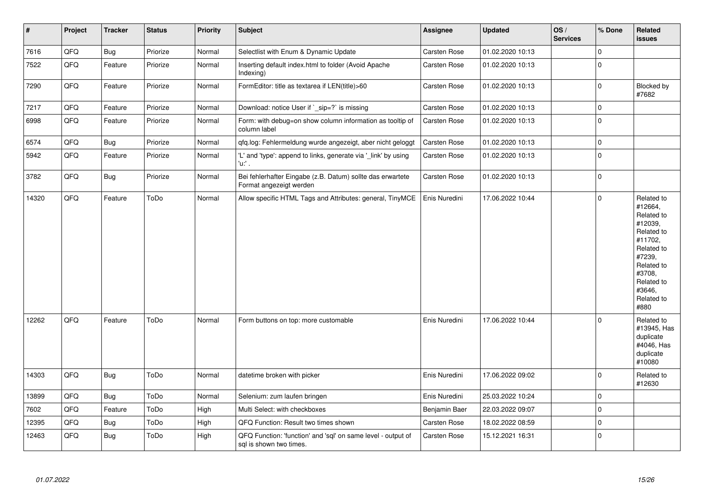| $\vert$ # | Project | <b>Tracker</b> | <b>Status</b> | Priority | <b>Subject</b>                                                                          | Assignee      | <b>Updated</b>   | OS/<br><b>Services</b> | % Done       | Related<br><b>issues</b>                                                                                                                                              |
|-----------|---------|----------------|---------------|----------|-----------------------------------------------------------------------------------------|---------------|------------------|------------------------|--------------|-----------------------------------------------------------------------------------------------------------------------------------------------------------------------|
| 7616      | QFQ     | <b>Bug</b>     | Priorize      | Normal   | Selectlist with Enum & Dynamic Update                                                   | Carsten Rose  | 01.02.2020 10:13 |                        | $\mathbf 0$  |                                                                                                                                                                       |
| 7522      | QFQ     | Feature        | Priorize      | Normal   | Inserting default index.html to folder (Avoid Apache<br>Indexing)                       | Carsten Rose  | 01.02.2020 10:13 |                        | $\mathbf{0}$ |                                                                                                                                                                       |
| 7290      | QFQ     | Feature        | Priorize      | Normal   | FormEditor: title as textarea if LEN(title)>60                                          | Carsten Rose  | 01.02.2020 10:13 |                        | $\pmb{0}$    | Blocked by<br>#7682                                                                                                                                                   |
| 7217      | QFQ     | Feature        | Priorize      | Normal   | Download: notice User if `_sip=?` is missing                                            | Carsten Rose  | 01.02.2020 10:13 |                        | $\mathbf{0}$ |                                                                                                                                                                       |
| 6998      | QFQ     | Feature        | Priorize      | Normal   | Form: with debug=on show column information as tooltip of<br>column label               | Carsten Rose  | 01.02.2020 10:13 |                        | $\pmb{0}$    |                                                                                                                                                                       |
| 6574      | QFQ     | <b>Bug</b>     | Priorize      | Normal   | qfq.log: Fehlermeldung wurde angezeigt, aber nicht geloggt                              | Carsten Rose  | 01.02.2020 10:13 |                        | $\mathbf 0$  |                                                                                                                                                                       |
| 5942      | QFQ     | Feature        | Priorize      | Normal   | 'L' and 'type': append to links, generate via '_link' by using<br>'u:' .                | Carsten Rose  | 01.02.2020 10:13 |                        | $\mathbf{0}$ |                                                                                                                                                                       |
| 3782      | QFQ     | Bug            | Priorize      | Normal   | Bei fehlerhafter Eingabe (z.B. Datum) sollte das erwartete<br>Format angezeigt werden   | Carsten Rose  | 01.02.2020 10:13 |                        | $\mathbf 0$  |                                                                                                                                                                       |
| 14320     | QFQ     | Feature        | ToDo          | Normal   | Allow specific HTML Tags and Attributes: general, TinyMCE                               | Enis Nuredini | 17.06.2022 10:44 |                        | $\mathbf{0}$ | Related to<br>#12664,<br>Related to<br>#12039,<br>Related to<br>#11702.<br>Related to<br>#7239,<br>Related to<br>#3708,<br>Related to<br>#3646.<br>Related to<br>#880 |
| 12262     | QFQ     | Feature        | ToDo          | Normal   | Form buttons on top: more customable                                                    | Enis Nuredini | 17.06.2022 10:44 |                        | $\mathbf 0$  | Related to<br>#13945, Has<br>duplicate<br>#4046, Has<br>duplicate<br>#10080                                                                                           |
| 14303     | QFQ     | Bug            | ToDo          | Normal   | datetime broken with picker                                                             | Enis Nuredini | 17.06.2022 09:02 |                        | $\bf 0$      | Related to<br>#12630                                                                                                                                                  |
| 13899     | QFQ     | <b>Bug</b>     | ToDo          | Normal   | Selenium: zum laufen bringen                                                            | Enis Nuredini | 25.03.2022 10:24 |                        | $\mathbf 0$  |                                                                                                                                                                       |
| 7602      | QFQ     | Feature        | ToDo          | High     | Multi Select: with checkboxes                                                           | Benjamin Baer | 22.03.2022 09:07 |                        | $\pmb{0}$    |                                                                                                                                                                       |
| 12395     | QFQ     | Bug            | ToDo          | High     | QFQ Function: Result two times shown                                                    | Carsten Rose  | 18.02.2022 08:59 |                        | $\pmb{0}$    |                                                                                                                                                                       |
| 12463     | QFQ     | Bug            | ToDo          | High     | QFQ Function: 'function' and 'sql' on same level - output of<br>sql is shown two times. | Carsten Rose  | 15.12.2021 16:31 |                        | $\mathbf 0$  |                                                                                                                                                                       |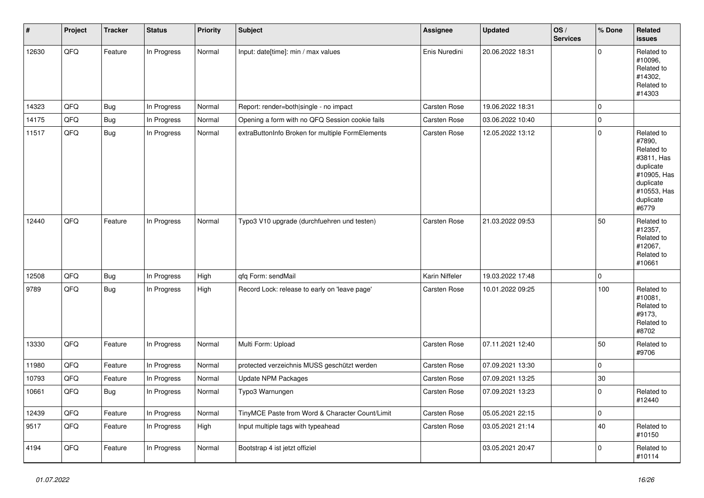| $\pmb{\#}$ | Project | <b>Tracker</b> | <b>Status</b> | <b>Priority</b> | <b>Subject</b>                                   | Assignee            | <b>Updated</b>   | OS/<br><b>Services</b> | % Done       | Related<br><b>issues</b>                                                                                                       |
|------------|---------|----------------|---------------|-----------------|--------------------------------------------------|---------------------|------------------|------------------------|--------------|--------------------------------------------------------------------------------------------------------------------------------|
| 12630      | QFQ     | Feature        | In Progress   | Normal          | Input: date[time]: min / max values              | Enis Nuredini       | 20.06.2022 18:31 |                        | $\mathbf{0}$ | Related to<br>#10096.<br>Related to<br>#14302,<br>Related to<br>#14303                                                         |
| 14323      | QFQ     | Bug            | In Progress   | Normal          | Report: render=both single - no impact           | <b>Carsten Rose</b> | 19.06.2022 18:31 |                        | $\mathbf 0$  |                                                                                                                                |
| 14175      | QFQ     | <b>Bug</b>     | In Progress   | Normal          | Opening a form with no QFQ Session cookie fails  | Carsten Rose        | 03.06.2022 10:40 |                        | $\pmb{0}$    |                                                                                                                                |
| 11517      | QFQ     | <b>Bug</b>     | In Progress   | Normal          | extraButtonInfo Broken for multiple FormElements | Carsten Rose        | 12.05.2022 13:12 |                        | $\mathbf 0$  | Related to<br>#7890,<br>Related to<br>#3811, Has<br>duplicate<br>#10905, Has<br>duplicate<br>#10553, Has<br>duplicate<br>#6779 |
| 12440      | QFQ     | Feature        | In Progress   | Normal          | Typo3 V10 upgrade (durchfuehren und testen)      | <b>Carsten Rose</b> | 21.03.2022 09:53 |                        | 50           | Related to<br>#12357,<br>Related to<br>#12067,<br>Related to<br>#10661                                                         |
| 12508      | QFQ     | Bug            | In Progress   | High            | qfq Form: sendMail                               | Karin Niffeler      | 19.03.2022 17:48 |                        | $\mathbf 0$  |                                                                                                                                |
| 9789       | QFQ     | Bug            | In Progress   | High            | Record Lock: release to early on 'leave page'    | <b>Carsten Rose</b> | 10.01.2022 09:25 |                        | 100          | Related to<br>#10081,<br>Related to<br>#9173,<br>Related to<br>#8702                                                           |
| 13330      | QFQ     | Feature        | In Progress   | Normal          | Multi Form: Upload                               | Carsten Rose        | 07.11.2021 12:40 |                        | 50           | Related to<br>#9706                                                                                                            |
| 11980      | QFQ     | Feature        | In Progress   | Normal          | protected verzeichnis MUSS geschützt werden      | <b>Carsten Rose</b> | 07.09.2021 13:30 |                        | $\mathbf 0$  |                                                                                                                                |
| 10793      | QFQ     | Feature        | In Progress   | Normal          | Update NPM Packages                              | <b>Carsten Rose</b> | 07.09.2021 13:25 |                        | 30           |                                                                                                                                |
| 10661      | QFQ     | Bug            | In Progress   | Normal          | Typo3 Warnungen                                  | Carsten Rose        | 07.09.2021 13:23 |                        | $\mathbf 0$  | Related to<br>#12440                                                                                                           |
| 12439      | QFQ     | Feature        | In Progress   | Normal          | TinyMCE Paste from Word & Character Count/Limit  | Carsten Rose        | 05.05.2021 22:15 |                        | $\mathbf 0$  |                                                                                                                                |
| 9517       | QFQ     | Feature        | In Progress   | High            | Input multiple tags with typeahead               | Carsten Rose        | 03.05.2021 21:14 |                        | 40           | Related to<br>#10150                                                                                                           |
| 4194       | QFQ     | Feature        | In Progress   | Normal          | Bootstrap 4 ist jetzt offiziel                   |                     | 03.05.2021 20:47 |                        | $\mathbf 0$  | Related to<br>#10114                                                                                                           |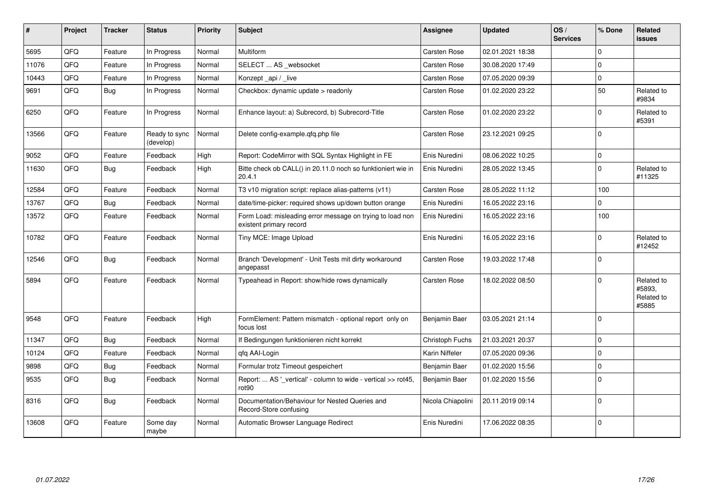| ∦     | Project | <b>Tracker</b> | <b>Status</b>              | <b>Priority</b> | <b>Subject</b>                                                                       | <b>Assignee</b>     | <b>Updated</b>   | OS/<br><b>Services</b> | % Done       | <b>Related</b><br><b>issues</b>             |
|-------|---------|----------------|----------------------------|-----------------|--------------------------------------------------------------------------------------|---------------------|------------------|------------------------|--------------|---------------------------------------------|
| 5695  | QFQ     | Feature        | In Progress                | Normal          | Multiform                                                                            | Carsten Rose        | 02.01.2021 18:38 |                        | $\Omega$     |                                             |
| 11076 | QFQ     | Feature        | In Progress                | Normal          | SELECT  AS _websocket                                                                | <b>Carsten Rose</b> | 30.08.2020 17:49 |                        | 0            |                                             |
| 10443 | QFQ     | Feature        | In Progress                | Normal          | Konzept_api / _live                                                                  | Carsten Rose        | 07.05.2020 09:39 |                        | $\mathbf 0$  |                                             |
| 9691  | QFQ     | Bug            | In Progress                | Normal          | Checkbox: dynamic update > readonly                                                  | <b>Carsten Rose</b> | 01.02.2020 23:22 |                        | 50           | Related to<br>#9834                         |
| 6250  | QFQ     | Feature        | In Progress                | Normal          | Enhance layout: a) Subrecord, b) Subrecord-Title                                     | Carsten Rose        | 01.02.2020 23:22 |                        | $\Omega$     | Related to<br>#5391                         |
| 13566 | QFQ     | Feature        | Ready to sync<br>(develop) | Normal          | Delete config-example.qfq.php file                                                   | <b>Carsten Rose</b> | 23.12.2021 09:25 |                        | $\Omega$     |                                             |
| 9052  | QFQ     | Feature        | Feedback                   | High            | Report: CodeMirror with SQL Syntax Highlight in FE                                   | Enis Nuredini       | 08.06.2022 10:25 |                        | $\mathbf 0$  |                                             |
| 11630 | QFQ     | <b>Bug</b>     | Feedback                   | High            | Bitte check ob CALL() in 20.11.0 noch so funktioniert wie in<br>20.4.1               | Enis Nuredini       | 28.05.2022 13:45 |                        | $\Omega$     | Related to<br>#11325                        |
| 12584 | QFQ     | Feature        | Feedback                   | Normal          | T3 v10 migration script: replace alias-patterns (v11)                                | Carsten Rose        | 28.05.2022 11:12 |                        | 100          |                                             |
| 13767 | QFQ     | <b>Bug</b>     | Feedback                   | Normal          | date/time-picker: required shows up/down button orange                               | Enis Nuredini       | 16.05.2022 23:16 |                        | 0            |                                             |
| 13572 | QFQ     | Feature        | Feedback                   | Normal          | Form Load: misleading error message on trying to load non<br>existent primary record | Enis Nuredini       | 16.05.2022 23:16 |                        | 100          |                                             |
| 10782 | QFQ     | Feature        | Feedback                   | Normal          | Tiny MCE: Image Upload                                                               | Enis Nuredini       | 16.05.2022 23:16 |                        | $\Omega$     | Related to<br>#12452                        |
| 12546 | QFQ     | <b>Bug</b>     | Feedback                   | Normal          | Branch 'Development' - Unit Tests mit dirty workaround<br>angepasst                  | <b>Carsten Rose</b> | 19.03.2022 17:48 |                        | $\mathbf{0}$ |                                             |
| 5894  | QFQ     | Feature        | Feedback                   | Normal          | Typeahead in Report: show/hide rows dynamically                                      | Carsten Rose        | 18.02.2022 08:50 |                        | 0            | Related to<br>#5893,<br>Related to<br>#5885 |
| 9548  | QFQ     | Feature        | Feedback                   | High            | FormElement: Pattern mismatch - optional report only on<br>focus lost                | Benjamin Baer       | 03.05.2021 21:14 |                        | $\Omega$     |                                             |
| 11347 | QFQ     | <b>Bug</b>     | Feedback                   | Normal          | If Bedingungen funktionieren nicht korrekt                                           | Christoph Fuchs     | 21.03.2021 20:37 |                        | $\Omega$     |                                             |
| 10124 | QFQ     | Feature        | Feedback                   | Normal          | gfg AAI-Login                                                                        | Karin Niffeler      | 07.05.2020 09:36 |                        | 0            |                                             |
| 9898  | QFQ     | <b>Bug</b>     | Feedback                   | Normal          | Formular trotz Timeout gespeichert                                                   | Benjamin Baer       | 01.02.2020 15:56 |                        | $\mathbf 0$  |                                             |
| 9535  | QFQ     | <b>Bug</b>     | Feedback                   | Normal          | Report:  AS '_vertical' - column to wide - vertical >> rot45,<br>rot90               | Benjamin Baer       | 01.02.2020 15:56 |                        | $\Omega$     |                                             |
| 8316  | QFQ     | <b>Bug</b>     | Feedback                   | Normal          | Documentation/Behaviour for Nested Queries and<br>Record-Store confusing             | Nicola Chiapolini   | 20.11.2019 09:14 |                        | $\Omega$     |                                             |
| 13608 | QFQ     | Feature        | Some day<br>maybe          | Normal          | Automatic Browser Language Redirect                                                  | Enis Nuredini       | 17.06.2022 08:35 |                        | 0            |                                             |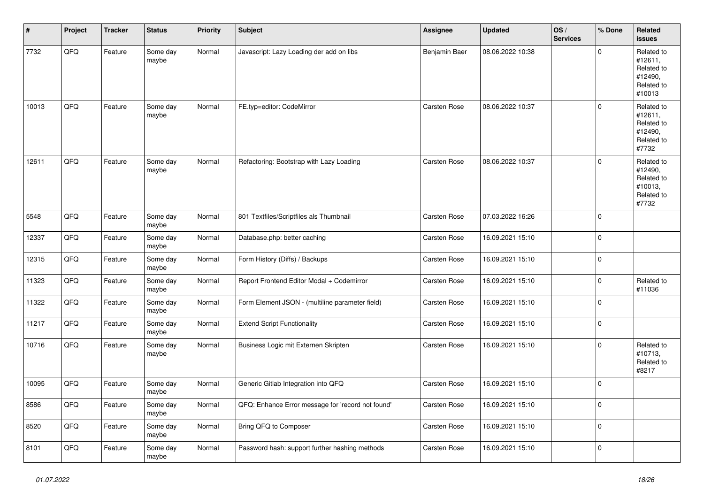| $\vert$ # | Project | <b>Tracker</b> | <b>Status</b>     | <b>Priority</b> | <b>Subject</b>                                    | <b>Assignee</b>     | <b>Updated</b>   | OS/<br><b>Services</b> | % Done              | Related<br><b>issues</b>                                               |
|-----------|---------|----------------|-------------------|-----------------|---------------------------------------------------|---------------------|------------------|------------------------|---------------------|------------------------------------------------------------------------|
| 7732      | QFQ     | Feature        | Some day<br>maybe | Normal          | Javascript: Lazy Loading der add on libs          | Benjamin Baer       | 08.06.2022 10:38 |                        | $\mathbf{0}$        | Related to<br>#12611,<br>Related to<br>#12490,<br>Related to<br>#10013 |
| 10013     | QFQ     | Feature        | Some day<br>maybe | Normal          | FE.typ=editor: CodeMirror                         | <b>Carsten Rose</b> | 08.06.2022 10:37 |                        | $\mathbf 0$         | Related to<br>#12611,<br>Related to<br>#12490,<br>Related to<br>#7732  |
| 12611     | QFQ     | Feature        | Some day<br>maybe | Normal          | Refactoring: Bootstrap with Lazy Loading          | Carsten Rose        | 08.06.2022 10:37 |                        | $\mathbf{0}$        | Related to<br>#12490,<br>Related to<br>#10013,<br>Related to<br>#7732  |
| 5548      | QFQ     | Feature        | Some day<br>maybe | Normal          | 801 Textfiles/Scriptfiles als Thumbnail           | Carsten Rose        | 07.03.2022 16:26 |                        | $\Omega$            |                                                                        |
| 12337     | QFQ     | Feature        | Some day<br>maybe | Normal          | Database.php: better caching                      | Carsten Rose        | 16.09.2021 15:10 |                        | $\mathbf{0}$        |                                                                        |
| 12315     | QFQ     | Feature        | Some day<br>maybe | Normal          | Form History (Diffs) / Backups                    | <b>Carsten Rose</b> | 16.09.2021 15:10 |                        | $\mathbf{0}$        |                                                                        |
| 11323     | QFQ     | Feature        | Some day<br>maybe | Normal          | Report Frontend Editor Modal + Codemirror         | Carsten Rose        | 16.09.2021 15:10 |                        | $\mathsf{O}\xspace$ | Related to<br>#11036                                                   |
| 11322     | QFQ     | Feature        | Some day<br>maybe | Normal          | Form Element JSON - (multiline parameter field)   | Carsten Rose        | 16.09.2021 15:10 |                        | $\mathsf{O}\xspace$ |                                                                        |
| 11217     | QFQ     | Feature        | Some day<br>maybe | Normal          | <b>Extend Script Functionality</b>                | Carsten Rose        | 16.09.2021 15:10 |                        | $\mathbf 0$         |                                                                        |
| 10716     | QFQ     | Feature        | Some day<br>maybe | Normal          | Business Logic mit Externen Skripten              | <b>Carsten Rose</b> | 16.09.2021 15:10 |                        | $\mathbf 0$         | Related to<br>#10713,<br>Related to<br>#8217                           |
| 10095     | QFQ     | Feature        | Some day<br>maybe | Normal          | Generic Gitlab Integration into QFQ               | <b>Carsten Rose</b> | 16.09.2021 15:10 |                        | $\mathbf{0}$        |                                                                        |
| 8586      | QFQ     | Feature        | Some day<br>maybe | Normal          | QFQ: Enhance Error message for 'record not found' | Carsten Rose        | 16.09.2021 15:10 |                        | $\mathbf{0}$        |                                                                        |
| 8520      | QFQ     | Feature        | Some day<br>maybe | Normal          | Bring QFQ to Composer                             | Carsten Rose        | 16.09.2021 15:10 |                        | $\mathbf{0}$        |                                                                        |
| 8101      | QFQ     | Feature        | Some day<br>maybe | Normal          | Password hash: support further hashing methods    | Carsten Rose        | 16.09.2021 15:10 |                        | 0                   |                                                                        |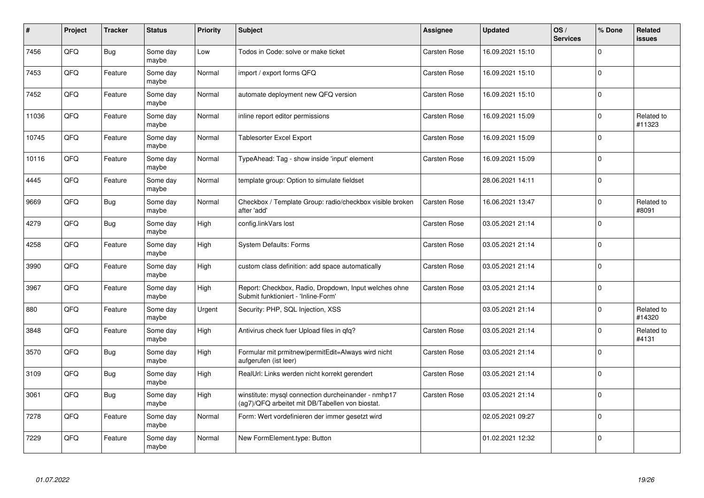| ∦     | Project | <b>Tracker</b> | <b>Status</b>     | <b>Priority</b> | <b>Subject</b>                                                                                         | Assignee            | <b>Updated</b>   | OS/<br><b>Services</b> | % Done         | <b>Related</b><br><b>issues</b> |
|-------|---------|----------------|-------------------|-----------------|--------------------------------------------------------------------------------------------------------|---------------------|------------------|------------------------|----------------|---------------------------------|
| 7456  | QFQ     | Bug            | Some day<br>maybe | Low             | Todos in Code: solve or make ticket                                                                    | <b>Carsten Rose</b> | 16.09.2021 15:10 |                        | $\mathbf 0$    |                                 |
| 7453  | QFQ     | Feature        | Some day<br>maybe | Normal          | import / export forms QFQ                                                                              | Carsten Rose        | 16.09.2021 15:10 |                        | $\Omega$       |                                 |
| 7452  | QFQ     | Feature        | Some day<br>maybe | Normal          | automate deployment new QFQ version                                                                    | Carsten Rose        | 16.09.2021 15:10 |                        | $\mathbf 0$    |                                 |
| 11036 | QFQ     | Feature        | Some day<br>maybe | Normal          | inline report editor permissions                                                                       | Carsten Rose        | 16.09.2021 15:09 |                        | $\Omega$       | Related to<br>#11323            |
| 10745 | QFQ     | Feature        | Some day<br>maybe | Normal          | <b>Tablesorter Excel Export</b>                                                                        | Carsten Rose        | 16.09.2021 15:09 |                        | $\Omega$       |                                 |
| 10116 | QFQ     | Feature        | Some day<br>maybe | Normal          | TypeAhead: Tag - show inside 'input' element                                                           | Carsten Rose        | 16.09.2021 15:09 |                        | $\overline{0}$ |                                 |
| 4445  | QFQ     | Feature        | Some day<br>maybe | Normal          | template group: Option to simulate fieldset                                                            |                     | 28.06.2021 14:11 |                        | $\Omega$       |                                 |
| 9669  | QFQ     | Bug            | Some day<br>maybe | Normal          | Checkbox / Template Group: radio/checkbox visible broken<br>after 'add'                                | Carsten Rose        | 16.06.2021 13:47 |                        | 0              | Related to<br>#8091             |
| 4279  | QFQ     | <b>Bug</b>     | Some day<br>maybe | High            | config.linkVars lost                                                                                   | Carsten Rose        | 03.05.2021 21:14 |                        | $\Omega$       |                                 |
| 4258  | QFQ     | Feature        | Some day<br>maybe | High            | <b>System Defaults: Forms</b>                                                                          | Carsten Rose        | 03.05.2021 21:14 |                        | $\mathbf 0$    |                                 |
| 3990  | QFQ     | Feature        | Some day<br>maybe | High            | custom class definition: add space automatically                                                       | Carsten Rose        | 03.05.2021 21:14 |                        | $\mathbf{0}$   |                                 |
| 3967  | QFQ     | Feature        | Some day<br>maybe | High            | Report: Checkbox, Radio, Dropdown, Input welches ohne<br>Submit funktioniert - 'Inline-Form'           | Carsten Rose        | 03.05.2021 21:14 |                        | $\Omega$       |                                 |
| 880   | QFQ     | Feature        | Some day<br>maybe | Urgent          | Security: PHP, SQL Injection, XSS                                                                      |                     | 03.05.2021 21:14 |                        | $\mathbf 0$    | Related to<br>#14320            |
| 3848  | QFQ     | Feature        | Some day<br>maybe | High            | Antivirus check fuer Upload files in qfq?                                                              | Carsten Rose        | 03.05.2021 21:14 |                        | $\pmb{0}$      | Related to<br>#4131             |
| 3570  | QFQ     | Bug            | Some day<br>maybe | High            | Formular mit prmitnew permitEdit=Always wird nicht<br>aufgerufen (ist leer)                            | Carsten Rose        | 03.05.2021 21:14 |                        | $\mathbf{0}$   |                                 |
| 3109  | QFQ     | Bug            | Some day<br>maybe | High            | RealUrl: Links werden nicht korrekt gerendert                                                          | Carsten Rose        | 03.05.2021 21:14 |                        | $\overline{0}$ |                                 |
| 3061  | QFQ     | Bug            | Some day<br>maybe | High            | winstitute: mysql connection durcheinander - nmhp17<br>(ag7)/QFQ arbeitet mit DB/Tabellen von biostat. | Carsten Rose        | 03.05.2021 21:14 |                        | $\mathbf 0$    |                                 |
| 7278  | QFQ     | Feature        | Some day<br>maybe | Normal          | Form: Wert vordefinieren der immer gesetzt wird                                                        |                     | 02.05.2021 09:27 |                        | 0              |                                 |
| 7229  | QFQ     | Feature        | Some day<br>maybe | Normal          | New FormElement.type: Button                                                                           |                     | 01.02.2021 12:32 |                        | $\Omega$       |                                 |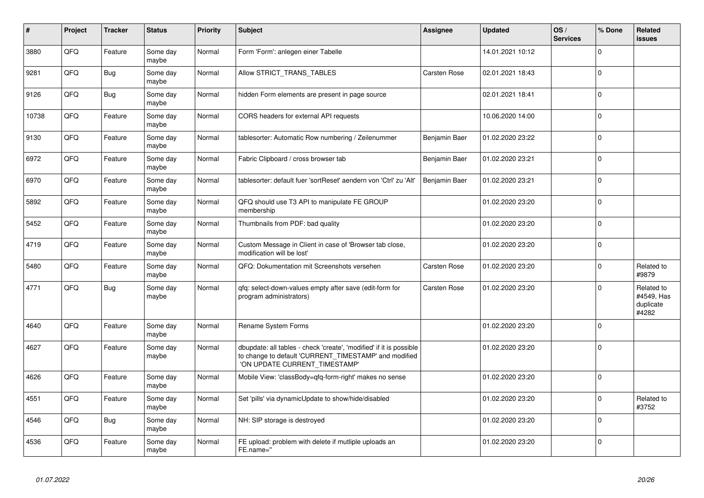| #     | Project | <b>Tracker</b> | <b>Status</b>     | <b>Priority</b> | <b>Subject</b>                                                                                                                                                | Assignee      | <b>Updated</b>   | OS/<br><b>Services</b> | % Done      | Related<br><b>issues</b>                       |
|-------|---------|----------------|-------------------|-----------------|---------------------------------------------------------------------------------------------------------------------------------------------------------------|---------------|------------------|------------------------|-------------|------------------------------------------------|
| 3880  | QFQ     | Feature        | Some day<br>maybe | Normal          | Form 'Form': anlegen einer Tabelle                                                                                                                            |               | 14.01.2021 10:12 |                        | $\Omega$    |                                                |
| 9281  | QFQ     | Bug            | Some dav<br>maybe | Normal          | Allow STRICT_TRANS_TABLES                                                                                                                                     | Carsten Rose  | 02.01.2021 18:43 |                        | $\mathbf 0$ |                                                |
| 9126  | QFQ     | <b>Bug</b>     | Some dav<br>maybe | Normal          | hidden Form elements are present in page source                                                                                                               |               | 02.01.2021 18:41 |                        | $\mathbf 0$ |                                                |
| 10738 | QFQ     | Feature        | Some day<br>maybe | Normal          | CORS headers for external API requests                                                                                                                        |               | 10.06.2020 14:00 |                        | $\Omega$    |                                                |
| 9130  | QFQ     | Feature        | Some day<br>maybe | Normal          | tablesorter: Automatic Row numbering / Zeilenummer                                                                                                            | Benjamin Baer | 01.02.2020 23:22 |                        | $\mathbf 0$ |                                                |
| 6972  | QFQ     | Feature        | Some day<br>maybe | Normal          | Fabric Clipboard / cross browser tab                                                                                                                          | Benjamin Baer | 01.02.2020 23:21 |                        | $\mathbf 0$ |                                                |
| 6970  | QFQ     | Feature        | Some dav<br>maybe | Normal          | tablesorter: default fuer 'sortReset' aendern von 'Ctrl' zu 'Alt'                                                                                             | Benjamin Baer | 01.02.2020 23:21 |                        | $\Omega$    |                                                |
| 5892  | QFQ     | Feature        | Some day<br>maybe | Normal          | QFQ should use T3 API to manipulate FE GROUP<br>membership                                                                                                    |               | 01.02.2020 23:20 |                        | $\Omega$    |                                                |
| 5452  | QFQ     | Feature        | Some day<br>maybe | Normal          | Thumbnails from PDF: bad quality                                                                                                                              |               | 01.02.2020 23:20 |                        | $\mathbf 0$ |                                                |
| 4719  | QFQ     | Feature        | Some day<br>maybe | Normal          | Custom Message in Client in case of 'Browser tab close,<br>modification will be lost'                                                                         |               | 01.02.2020 23:20 |                        | $\mathbf 0$ |                                                |
| 5480  | QFQ     | Feature        | Some day<br>maybe | Normal          | QFQ: Dokumentation mit Screenshots versehen                                                                                                                   | Carsten Rose  | 01.02.2020 23:20 |                        | $\mathbf 0$ | Related to<br>#9879                            |
| 4771  | QFQ     | <b>Bug</b>     | Some day<br>maybe | Normal          | gfg: select-down-values empty after save (edit-form for<br>program administrators)                                                                            | Carsten Rose  | 01.02.2020 23:20 |                        | $\Omega$    | Related to<br>#4549, Has<br>duplicate<br>#4282 |
| 4640  | QFQ     | Feature        | Some day<br>maybe | Normal          | <b>Rename System Forms</b>                                                                                                                                    |               | 01.02.2020 23:20 |                        | $\Omega$    |                                                |
| 4627  | QFQ     | Feature        | Some day<br>maybe | Normal          | dbupdate: all tables - check 'create', 'modified' if it is possible<br>to change to default 'CURRENT TIMESTAMP' and modified<br>'ON UPDATE CURRENT_TIMESTAMP' |               | 01.02.2020 23:20 |                        | $\Omega$    |                                                |
| 4626  | QFQ     | Feature        | Some day<br>maybe | Normal          | Mobile View: 'classBody=qfq-form-right' makes no sense                                                                                                        |               | 01.02.2020 23:20 |                        | $\Omega$    |                                                |
| 4551  | QFQ     | Feature        | Some day<br>maybe | Normal          | Set 'pills' via dynamicUpdate to show/hide/disabled                                                                                                           |               | 01.02.2020 23:20 |                        | $\Omega$    | Related to<br>#3752                            |
| 4546  | QFQ     | <b>Bug</b>     | Some day<br>maybe | Normal          | NH: SIP storage is destroyed                                                                                                                                  |               | 01.02.2020 23:20 |                        | $\mathbf 0$ |                                                |
| 4536  | QFQ     | Feature        | Some day<br>maybe | Normal          | FE upload: problem with delete if mutliple uploads an<br>FE.name="                                                                                            |               | 01.02.2020 23:20 |                        | $\Omega$    |                                                |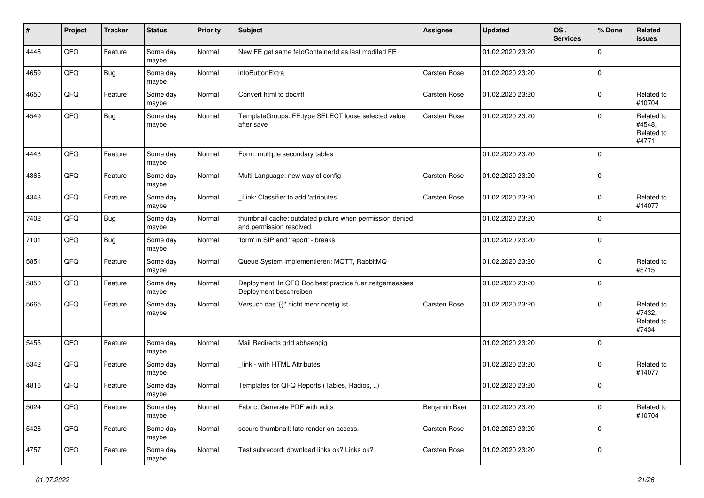| #    | Project | <b>Tracker</b> | <b>Status</b>     | <b>Priority</b> | <b>Subject</b>                                                                       | Assignee            | <b>Updated</b>   | OS/<br><b>Services</b> | % Done       | Related<br><b>issues</b>                    |
|------|---------|----------------|-------------------|-----------------|--------------------------------------------------------------------------------------|---------------------|------------------|------------------------|--------------|---------------------------------------------|
| 4446 | QFQ     | Feature        | Some day<br>maybe | Normal          | New FE get same feldContainerId as last modifed FE                                   |                     | 01.02.2020 23:20 |                        | $\mathbf 0$  |                                             |
| 4659 | QFQ     | Bug            | Some day<br>maybe | Normal          | <b>infoButtonExtra</b>                                                               | <b>Carsten Rose</b> | 01.02.2020 23:20 |                        | $\mathbf 0$  |                                             |
| 4650 | QFQ     | Feature        | Some day<br>maybe | Normal          | Convert html to doc/rtf                                                              | <b>Carsten Rose</b> | 01.02.2020 23:20 |                        | $\mathbf 0$  | Related to<br>#10704                        |
| 4549 | QFQ     | <b>Bug</b>     | Some day<br>maybe | Normal          | TemplateGroups: FE.type SELECT loose selected value<br>after save                    | <b>Carsten Rose</b> | 01.02.2020 23:20 |                        | $\mathbf 0$  | Related to<br>#4548,<br>Related to<br>#4771 |
| 4443 | QFQ     | Feature        | Some day<br>maybe | Normal          | Form: multiple secondary tables                                                      |                     | 01.02.2020 23:20 |                        | $\mathbf 0$  |                                             |
| 4365 | QFQ     | Feature        | Some day<br>maybe | Normal          | Multi Language: new way of config                                                    | Carsten Rose        | 01.02.2020 23:20 |                        | $\mathbf 0$  |                                             |
| 4343 | QFQ     | Feature        | Some day<br>maybe | Normal          | Link: Classifier to add 'attributes'                                                 | Carsten Rose        | 01.02.2020 23:20 |                        | $\mathbf 0$  | Related to<br>#14077                        |
| 7402 | QFQ     | Bug            | Some day<br>maybe | Normal          | thumbnail cache: outdated picture when permission denied<br>and permission resolved. |                     | 01.02.2020 23:20 |                        | $\mathbf 0$  |                                             |
| 7101 | QFQ     | <b>Bug</b>     | Some day<br>maybe | Normal          | 'form' in SIP and 'report' - breaks                                                  |                     | 01.02.2020 23:20 |                        | $\mathbf 0$  |                                             |
| 5851 | QFQ     | Feature        | Some day<br>maybe | Normal          | Queue System implementieren: MQTT, RabbitMQ                                          |                     | 01.02.2020 23:20 |                        | 0            | Related to<br>#5715                         |
| 5850 | QFQ     | Feature        | Some day<br>maybe | Normal          | Deployment: In QFQ Doc best practice fuer zeitgemaesses<br>Deployment beschreiben    |                     | 01.02.2020 23:20 |                        | $\mathbf 0$  |                                             |
| 5665 | QFQ     | Feature        | Some day<br>maybe | Normal          | Versuch das '{{!' nicht mehr noetig ist.                                             | <b>Carsten Rose</b> | 01.02.2020 23:20 |                        | 0            | Related to<br>#7432,<br>Related to<br>#7434 |
| 5455 | QFQ     | Feature        | Some day<br>maybe | Normal          | Mail Redirects grld abhaengig                                                        |                     | 01.02.2020 23:20 |                        | $\mathbf{0}$ |                                             |
| 5342 | QFQ     | Feature        | Some day<br>maybe | Normal          | link - with HTML Attributes                                                          |                     | 01.02.2020 23:20 |                        | $\mathbf 0$  | Related to<br>#14077                        |
| 4816 | QFQ     | Feature        | Some day<br>maybe | Normal          | Templates for QFQ Reports (Tables, Radios, )                                         |                     | 01.02.2020 23:20 |                        | 0            |                                             |
| 5024 | QFO     | Feature        | Some day<br>maybe | Normal          | Fabric: Generate PDF with edits                                                      | Benjamin Baer       | 01.02.2020 23:20 |                        | $\mathbf 0$  | Related to<br>#10704                        |
| 5428 | QFO     | Feature        | Some day<br>maybe | Normal          | secure thumbnail: late render on access.                                             | Carsten Rose        | 01.02.2020 23:20 |                        | $\mathbf 0$  |                                             |
| 4757 | QFQ     | Feature        | Some day<br>maybe | Normal          | Test subrecord: download links ok? Links ok?                                         | Carsten Rose        | 01.02.2020 23:20 |                        | $\mathbf 0$  |                                             |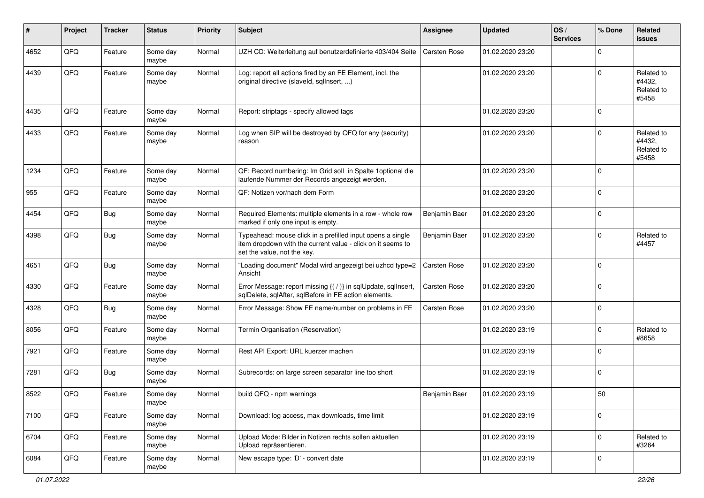| #    | Project | <b>Tracker</b> | <b>Status</b>     | <b>Priority</b> | <b>Subject</b>                                                                                                                                           | Assignee            | <b>Updated</b>   | OS/<br><b>Services</b> | % Done         | Related<br><b>issues</b>                    |
|------|---------|----------------|-------------------|-----------------|----------------------------------------------------------------------------------------------------------------------------------------------------------|---------------------|------------------|------------------------|----------------|---------------------------------------------|
| 4652 | QFQ     | Feature        | Some day<br>maybe | Normal          | UZH CD: Weiterleitung auf benutzerdefinierte 403/404 Seite                                                                                               | <b>Carsten Rose</b> | 01.02.2020 23:20 |                        | 0              |                                             |
| 4439 | QFQ     | Feature        | Some day<br>maybe | Normal          | Log: report all actions fired by an FE Element, incl. the<br>original directive (slaveld, sqlInsert, )                                                   |                     | 01.02.2020 23:20 |                        | $\mathbf 0$    | Related to<br>#4432,<br>Related to<br>#5458 |
| 4435 | QFQ     | Feature        | Some day<br>maybe | Normal          | Report: striptags - specify allowed tags                                                                                                                 |                     | 01.02.2020 23:20 |                        | $\mathbf 0$    |                                             |
| 4433 | QFQ     | Feature        | Some day<br>maybe | Normal          | Log when SIP will be destroyed by QFQ for any (security)<br>reason                                                                                       |                     | 01.02.2020 23:20 |                        | $\mathbf 0$    | Related to<br>#4432,<br>Related to<br>#5458 |
| 1234 | QFQ     | Feature        | Some day<br>maybe | Normal          | QF: Record numbering: Im Grid soll in Spalte 1 optional die<br>laufende Nummer der Records angezeigt werden.                                             |                     | 01.02.2020 23:20 |                        | $\mathbf 0$    |                                             |
| 955  | QFQ     | Feature        | Some day<br>maybe | Normal          | QF: Notizen vor/nach dem Form                                                                                                                            |                     | 01.02.2020 23:20 |                        | $\mathbf 0$    |                                             |
| 4454 | QFQ     | Bug            | Some day<br>maybe | Normal          | Required Elements: multiple elements in a row - whole row<br>marked if only one input is empty.                                                          | Benjamin Baer       | 01.02.2020 23:20 |                        | 0              |                                             |
| 4398 | QFQ     | <b>Bug</b>     | Some day<br>maybe | Normal          | Typeahead: mouse click in a prefilled input opens a single<br>item dropdown with the current value - click on it seems to<br>set the value, not the key. | Benjamin Baer       | 01.02.2020 23:20 |                        | 0              | Related to<br>#4457                         |
| 4651 | QFQ     | <b>Bug</b>     | Some day<br>maybe | Normal          | "Loading document" Modal wird angezeigt bei uzhcd type=2<br>Ansicht                                                                                      | Carsten Rose        | 01.02.2020 23:20 |                        | $\mathbf 0$    |                                             |
| 4330 | QFQ     | Feature        | Some day<br>maybe | Normal          | Error Message: report missing {{ / }} in sqlUpdate, sqlInsert,<br>sqlDelete, sqlAfter, sqlBefore in FE action elements.                                  | <b>Carsten Rose</b> | 01.02.2020 23:20 |                        | $\mathbf 0$    |                                             |
| 4328 | QFQ     | <b>Bug</b>     | Some day<br>maybe | Normal          | Error Message: Show FE name/number on problems in FE                                                                                                     | <b>Carsten Rose</b> | 01.02.2020 23:20 |                        | $\mathbf 0$    |                                             |
| 8056 | QFQ     | Feature        | Some day<br>maybe | Normal          | Termin Organisation (Reservation)                                                                                                                        |                     | 01.02.2020 23:19 |                        | $\mathbf 0$    | Related to<br>#8658                         |
| 7921 | QFQ     | Feature        | Some day<br>maybe | Normal          | Rest API Export: URL kuerzer machen                                                                                                                      |                     | 01.02.2020 23:19 |                        | 0              |                                             |
| 7281 | QFQ     | <b>Bug</b>     | Some day<br>maybe | Normal          | Subrecords: on large screen separator line too short                                                                                                     |                     | 01.02.2020 23:19 |                        | $\mathbf 0$    |                                             |
| 8522 | QFQ     | Feature        | Some day<br>maybe | Normal          | build QFQ - npm warnings                                                                                                                                 | Benjamin Baer       | 01.02.2020 23:19 |                        | 50             |                                             |
| 7100 | QFO     | Feature        | Some day<br>maybe | Normal          | Download: log access, max downloads, time limit                                                                                                          |                     | 01.02.2020 23:19 |                        | $\mathbf 0$    |                                             |
| 6704 | QFQ     | Feature        | Some day<br>maybe | Normal          | Upload Mode: Bilder in Notizen rechts sollen aktuellen<br>Upload repräsentieren.                                                                         |                     | 01.02.2020 23:19 |                        | $\mathbf 0$    | Related to<br>#3264                         |
| 6084 | QFO     | Feature        | Some day<br>maybe | Normal          | New escape type: 'D' - convert date                                                                                                                      |                     | 01.02.2020 23:19 |                        | $\overline{0}$ |                                             |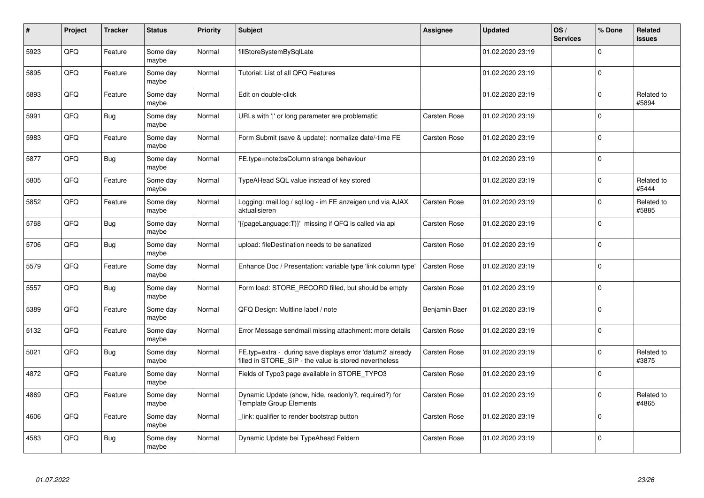| #    | Project | <b>Tracker</b> | <b>Status</b>     | <b>Priority</b> | <b>Subject</b>                                                                                                       | <b>Assignee</b>     | <b>Updated</b>   | OS/<br><b>Services</b> | % Done       | <b>Related</b><br><b>issues</b> |
|------|---------|----------------|-------------------|-----------------|----------------------------------------------------------------------------------------------------------------------|---------------------|------------------|------------------------|--------------|---------------------------------|
| 5923 | QFQ     | Feature        | Some day<br>maybe | Normal          | fillStoreSystemBySqlLate                                                                                             |                     | 01.02.2020 23:19 |                        | $\Omega$     |                                 |
| 5895 | QFQ     | Feature        | Some day<br>maybe | Normal          | Tutorial: List of all QFQ Features                                                                                   |                     | 01.02.2020 23:19 |                        | $\mathbf{0}$ |                                 |
| 5893 | QFQ     | Feature        | Some day<br>maybe | Normal          | Edit on double-click                                                                                                 |                     | 01.02.2020 23:19 |                        | $\mathbf{0}$ | Related to<br>#5894             |
| 5991 | QFQ     | Bug            | Some day<br>maybe | Normal          | URLs with ' ' or long parameter are problematic                                                                      | <b>Carsten Rose</b> | 01.02.2020 23:19 |                        | $\Omega$     |                                 |
| 5983 | QFQ     | Feature        | Some day<br>maybe | Normal          | Form Submit (save & update): normalize date/-time FE                                                                 | Carsten Rose        | 01.02.2020 23:19 |                        | $\mathbf{0}$ |                                 |
| 5877 | QFQ     | Bug            | Some day<br>maybe | Normal          | FE.type=note:bsColumn strange behaviour                                                                              |                     | 01.02.2020 23:19 |                        | $\mathbf 0$  |                                 |
| 5805 | QFQ     | Feature        | Some day<br>maybe | Normal          | TypeAHead SQL value instead of key stored                                                                            |                     | 01.02.2020 23:19 |                        | $\mathbf{0}$ | Related to<br>#5444             |
| 5852 | QFQ     | Feature        | Some day<br>maybe | Normal          | Logging: mail.log / sql.log - im FE anzeigen und via AJAX<br>aktualisieren                                           | Carsten Rose        | 01.02.2020 23:19 |                        | $\Omega$     | Related to<br>#5885             |
| 5768 | QFQ     | Bug            | Some day<br>maybe | Normal          | {{pageLanguage:T}}' missing if QFQ is called via api                                                                 | <b>Carsten Rose</b> | 01.02.2020 23:19 |                        | $\mathbf 0$  |                                 |
| 5706 | QFQ     | <b>Bug</b>     | Some day<br>maybe | Normal          | upload: fileDestination needs to be sanatized                                                                        | Carsten Rose        | 01.02.2020 23:19 |                        | $\mathbf{0}$ |                                 |
| 5579 | QFQ     | Feature        | Some day<br>maybe | Normal          | Enhance Doc / Presentation: variable type 'link column type'                                                         | <b>Carsten Rose</b> | 01.02.2020 23:19 |                        | $\mathbf 0$  |                                 |
| 5557 | QFQ     | Bug            | Some day<br>maybe | Normal          | Form load: STORE RECORD filled, but should be empty                                                                  | <b>Carsten Rose</b> | 01.02.2020 23:19 |                        | $\mathbf 0$  |                                 |
| 5389 | QFQ     | Feature        | Some day<br>maybe | Normal          | QFQ Design: Multline label / note                                                                                    | Benjamin Baer       | 01.02.2020 23:19 |                        | $\mathsf 0$  |                                 |
| 5132 | QFQ     | Feature        | Some day<br>maybe | Normal          | Error Message sendmail missing attachment: more details                                                              | <b>Carsten Rose</b> | 01.02.2020 23:19 |                        | $\mathbf{0}$ |                                 |
| 5021 | QFQ     | <b>Bug</b>     | Some day<br>maybe | Normal          | FE.typ=extra - during save displays error 'datum2' already<br>filled in STORE SIP - the value is stored nevertheless | Carsten Rose        | 01.02.2020 23:19 |                        | $\mathbf{0}$ | Related to<br>#3875             |
| 4872 | QFQ     | Feature        | Some day<br>maybe | Normal          | Fields of Typo3 page available in STORE_TYPO3                                                                        | Carsten Rose        | 01.02.2020 23:19 |                        | $\Omega$     |                                 |
| 4869 | QFQ     | Feature        | Some day<br>maybe | Normal          | Dynamic Update (show, hide, readonly?, required?) for<br>Template Group Elements                                     | <b>Carsten Rose</b> | 01.02.2020 23:19 |                        | $\mathbf{0}$ | Related to<br>#4865             |
| 4606 | QFQ     | Feature        | Some day<br>maybe | Normal          | link: qualifier to render bootstrap button                                                                           | Carsten Rose        | 01.02.2020 23:19 |                        | 0            |                                 |
| 4583 | QFQ     | <b>Bug</b>     | Some day<br>maybe | Normal          | Dynamic Update bei TypeAhead Feldern                                                                                 | <b>Carsten Rose</b> | 01.02.2020 23:19 |                        | $\Omega$     |                                 |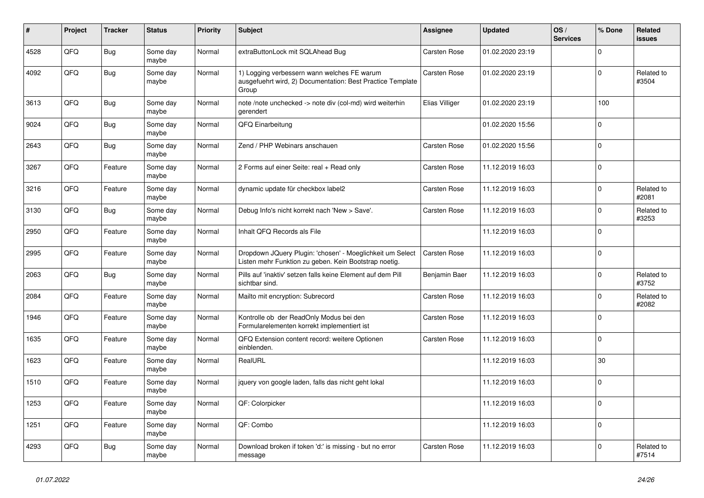| #    | Project | <b>Tracker</b> | <b>Status</b>     | <b>Priority</b> | <b>Subject</b>                                                                                                     | Assignee            | <b>Updated</b>   | OS/<br><b>Services</b> | % Done         | <b>Related</b><br><b>issues</b> |
|------|---------|----------------|-------------------|-----------------|--------------------------------------------------------------------------------------------------------------------|---------------------|------------------|------------------------|----------------|---------------------------------|
| 4528 | QFQ     | <b>Bug</b>     | Some day<br>maybe | Normal          | extraButtonLock mit SQLAhead Bug                                                                                   | Carsten Rose        | 01.02.2020 23:19 |                        | $\Omega$       |                                 |
| 4092 | QFQ     | <b>Bug</b>     | Some day<br>maybe | Normal          | 1) Logging verbessern wann welches FE warum<br>ausgefuehrt wird, 2) Documentation: Best Practice Template<br>Group | Carsten Rose        | 01.02.2020 23:19 |                        | 0              | Related to<br>#3504             |
| 3613 | QFQ     | Bug            | Some day<br>maybe | Normal          | note /note unchecked -> note div (col-md) wird weiterhin<br>gerendert                                              | Elias Villiger      | 01.02.2020 23:19 |                        | 100            |                                 |
| 9024 | QFQ     | <b>Bug</b>     | Some day<br>maybe | Normal          | QFQ Einarbeitung                                                                                                   |                     | 01.02.2020 15:56 |                        | $\mathbf 0$    |                                 |
| 2643 | QFQ     | <b>Bug</b>     | Some day<br>maybe | Normal          | Zend / PHP Webinars anschauen                                                                                      | Carsten Rose        | 01.02.2020 15:56 |                        | $\Omega$       |                                 |
| 3267 | QFQ     | Feature        | Some day<br>maybe | Normal          | 2 Forms auf einer Seite: real + Read only                                                                          | Carsten Rose        | 11.12.2019 16:03 |                        | $\mathbf 0$    |                                 |
| 3216 | QFQ     | Feature        | Some day<br>maybe | Normal          | dynamic update für checkbox label2                                                                                 | Carsten Rose        | 11.12.2019 16:03 |                        | $\Omega$       | Related to<br>#2081             |
| 3130 | QFQ     | <b>Bug</b>     | Some day<br>maybe | Normal          | Debug Info's nicht korrekt nach 'New > Save'.                                                                      | <b>Carsten Rose</b> | 11.12.2019 16:03 |                        | $\Omega$       | Related to<br>#3253             |
| 2950 | QFQ     | Feature        | Some day<br>maybe | Normal          | Inhalt QFQ Records als File                                                                                        |                     | 11.12.2019 16:03 |                        | $\mathbf 0$    |                                 |
| 2995 | QFQ     | Feature        | Some day<br>maybe | Normal          | Dropdown JQuery Plugin: 'chosen' - Moeglichkeit um Select<br>Listen mehr Funktion zu geben. Kein Bootstrap noetig. | Carsten Rose        | 11.12.2019 16:03 |                        | $\mathbf 0$    |                                 |
| 2063 | QFQ     | <b>Bug</b>     | Some day<br>maybe | Normal          | Pills auf 'inaktiv' setzen falls keine Element auf dem Pill<br>sichtbar sind.                                      | Benjamin Baer       | 11.12.2019 16:03 |                        | $\Omega$       | Related to<br>#3752             |
| 2084 | QFQ     | Feature        | Some day<br>maybe | Normal          | Mailto mit encryption: Subrecord                                                                                   | Carsten Rose        | 11.12.2019 16:03 |                        | $\Omega$       | Related to<br>#2082             |
| 1946 | QFQ     | Feature        | Some day<br>maybe | Normal          | Kontrolle ob der ReadOnly Modus bei den<br>Formularelementen korrekt implementiert ist                             | Carsten Rose        | 11.12.2019 16:03 |                        | $\mathbf 0$    |                                 |
| 1635 | QFQ     | Feature        | Some day<br>maybe | Normal          | QFQ Extension content record: weitere Optionen<br>einblenden.                                                      | <b>Carsten Rose</b> | 11.12.2019 16:03 |                        | $\mathbf 0$    |                                 |
| 1623 | QFQ     | Feature        | Some day<br>maybe | Normal          | RealURL                                                                                                            |                     | 11.12.2019 16:03 |                        | 30             |                                 |
| 1510 | QFQ     | Feature        | Some day<br>maybe | Normal          | jquery von google laden, falls das nicht geht lokal                                                                |                     | 11.12.2019 16:03 |                        | $\Omega$       |                                 |
| 1253 | QFQ     | Feature        | Some day<br>maybe | Normal          | QF: Colorpicker                                                                                                    |                     | 11.12.2019 16:03 |                        | $\Omega$       |                                 |
| 1251 | QFQ     | Feature        | Some day<br>maybe | Normal          | QF: Combo                                                                                                          |                     | 11.12.2019 16:03 |                        | $\overline{0}$ |                                 |
| 4293 | QFQ     | Bug            | Some day<br>maybe | Normal          | Download broken if token 'd:' is missing - but no error<br>message                                                 | <b>Carsten Rose</b> | 11.12.2019 16:03 |                        | $\mathbf 0$    | Related to<br>#7514             |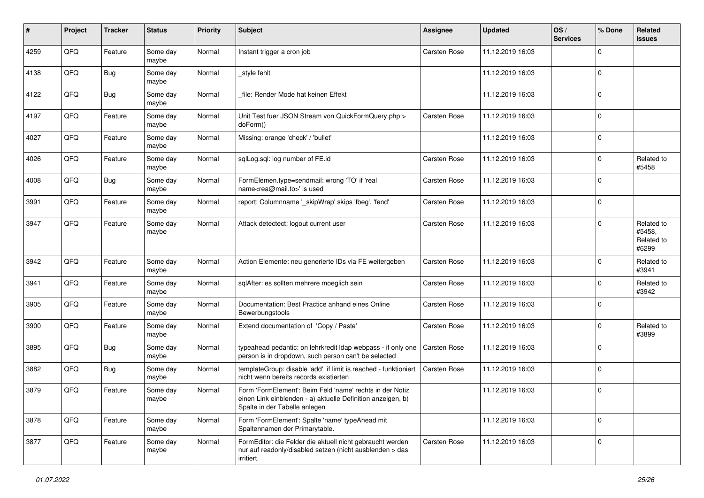| $\#$ | Project | <b>Tracker</b> | <b>Status</b>     | <b>Priority</b> | <b>Subject</b>                                                                                                                                           | Assignee            | <b>Updated</b>   | OS/<br><b>Services</b> | % Done      | Related<br><b>issues</b>                    |
|------|---------|----------------|-------------------|-----------------|----------------------------------------------------------------------------------------------------------------------------------------------------------|---------------------|------------------|------------------------|-------------|---------------------------------------------|
| 4259 | QFQ     | Feature        | Some day<br>maybe | Normal          | Instant trigger a cron job                                                                                                                               | Carsten Rose        | 11.12.2019 16:03 |                        | $\Omega$    |                                             |
| 4138 | QFQ     | Bug            | Some day<br>maybe | Normal          | style fehlt                                                                                                                                              |                     | 11.12.2019 16:03 |                        | $\mathbf 0$ |                                             |
| 4122 | QFQ     | Bug            | Some day<br>maybe | Normal          | file: Render Mode hat keinen Effekt                                                                                                                      |                     | 11.12.2019 16:03 |                        | $\Omega$    |                                             |
| 4197 | QFQ     | Feature        | Some day<br>maybe | Normal          | Unit Test fuer JSON Stream von QuickFormQuery.php ><br>doForm()                                                                                          | Carsten Rose        | 11.12.2019 16:03 |                        | $\mathbf 0$ |                                             |
| 4027 | QFQ     | Feature        | Some day<br>maybe | Normal          | Missing: orange 'check' / 'bullet'                                                                                                                       |                     | 11.12.2019 16:03 |                        | $\mathbf 0$ |                                             |
| 4026 | QFQ     | Feature        | Some day<br>maybe | Normal          | sqlLog.sql: log number of FE.id                                                                                                                          | Carsten Rose        | 11.12.2019 16:03 |                        | $\mathbf 0$ | Related to<br>#5458                         |
| 4008 | QFQ     | <b>Bug</b>     | Some day<br>maybe | Normal          | FormElemen.type=sendmail: wrong 'TO' if 'real<br>name <rea@mail.to>' is used</rea@mail.to>                                                               | Carsten Rose        | 11.12.2019 16:03 |                        | $\Omega$    |                                             |
| 3991 | QFQ     | Feature        | Some day<br>maybe | Normal          | report: Columnname '_skipWrap' skips 'fbeg', 'fend'                                                                                                      | Carsten Rose        | 11.12.2019 16:03 |                        | $\mathbf 0$ |                                             |
| 3947 | QFQ     | Feature        | Some day<br>maybe | Normal          | Attack detectect: logout current user                                                                                                                    | Carsten Rose        | 11.12.2019 16:03 |                        | $\Omega$    | Related to<br>#5458.<br>Related to<br>#6299 |
| 3942 | QFQ     | Feature        | Some day<br>maybe | Normal          | Action Elemente: neu generierte IDs via FE weitergeben                                                                                                   | Carsten Rose        | 11.12.2019 16:03 |                        | $\mathbf 0$ | Related to<br>#3941                         |
| 3941 | QFQ     | Feature        | Some day<br>maybe | Normal          | sqlAfter: es sollten mehrere moeglich sein                                                                                                               | Carsten Rose        | 11.12.2019 16:03 |                        | $\mathbf 0$ | Related to<br>#3942                         |
| 3905 | QFQ     | Feature        | Some day<br>maybe | Normal          | Documentation: Best Practice anhand eines Online<br>Bewerbungstools                                                                                      | Carsten Rose        | 11.12.2019 16:03 |                        | $\mathbf 0$ |                                             |
| 3900 | QFQ     | Feature        | Some day<br>maybe | Normal          | Extend documentation of 'Copy / Paste'                                                                                                                   | Carsten Rose        | 11.12.2019 16:03 |                        | $\mathbf 0$ | Related to<br>#3899                         |
| 3895 | QFQ     | <b>Bug</b>     | Some day<br>maybe | Normal          | typeahead pedantic: on lehrkredit Idap webpass - if only one<br>person is in dropdown, such person can't be selected                                     | <b>Carsten Rose</b> | 11.12.2019 16:03 |                        | $\Omega$    |                                             |
| 3882 | QFQ     | Bug            | Some day<br>maybe | Normal          | templateGroup: disable 'add' if limit is reached - funktioniert<br>nicht wenn bereits records existierten                                                | <b>Carsten Rose</b> | 11.12.2019 16:03 |                        | $\mathbf 0$ |                                             |
| 3879 | QFQ     | Feature        | Some day<br>maybe | Normal          | Form 'FormElement': Beim Feld 'name' rechts in der Notiz<br>einen Link einblenden - a) aktuelle Definition anzeigen, b)<br>Spalte in der Tabelle anlegen |                     | 11.12.2019 16:03 |                        | $\mathbf 0$ |                                             |
| 3878 | QFQ     | Feature        | Some day<br>maybe | Normal          | Form 'FormElement': Spalte 'name' typeAhead mit<br>Spaltennamen der Primarytable.                                                                        |                     | 11.12.2019 16:03 |                        | $\mathbf 0$ |                                             |
| 3877 | QFQ     | Feature        | Some day<br>maybe | Normal          | FormEditor: die Felder die aktuell nicht gebraucht werden<br>nur auf readonly/disabled setzen (nicht ausblenden > das<br>irritiert.                      | Carsten Rose        | 11.12.2019 16:03 |                        | $\mathbf 0$ |                                             |